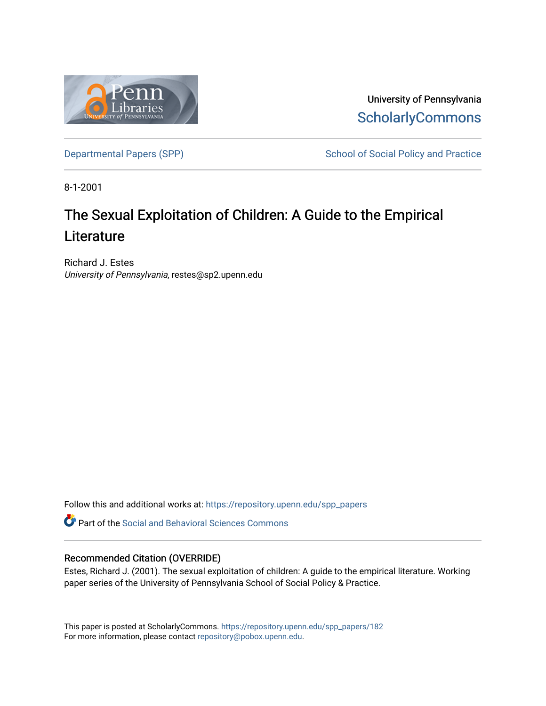

University of Pennsylvania **ScholarlyCommons** 

[Departmental Papers \(SPP\)](https://repository.upenn.edu/spp_papers) School of Social Policy and Practice

8-1-2001

# The Sexual Exploitation of Children: A Guide to the Empirical **Literature**

Richard J. Estes University of Pennsylvania, restes@sp2.upenn.edu

Follow this and additional works at: [https://repository.upenn.edu/spp\\_papers](https://repository.upenn.edu/spp_papers?utm_source=repository.upenn.edu%2Fspp_papers%2F182&utm_medium=PDF&utm_campaign=PDFCoverPages) 

**C** Part of the Social and Behavioral Sciences Commons

#### Recommended Citation (OVERRIDE)

Estes, Richard J. (2001). The sexual exploitation of children: A guide to the empirical literature. Working paper series of the University of Pennsylvania School of Social Policy & Practice.

This paper is posted at ScholarlyCommons. [https://repository.upenn.edu/spp\\_papers/182](https://repository.upenn.edu/spp_papers/182)  For more information, please contact [repository@pobox.upenn.edu.](mailto:repository@pobox.upenn.edu)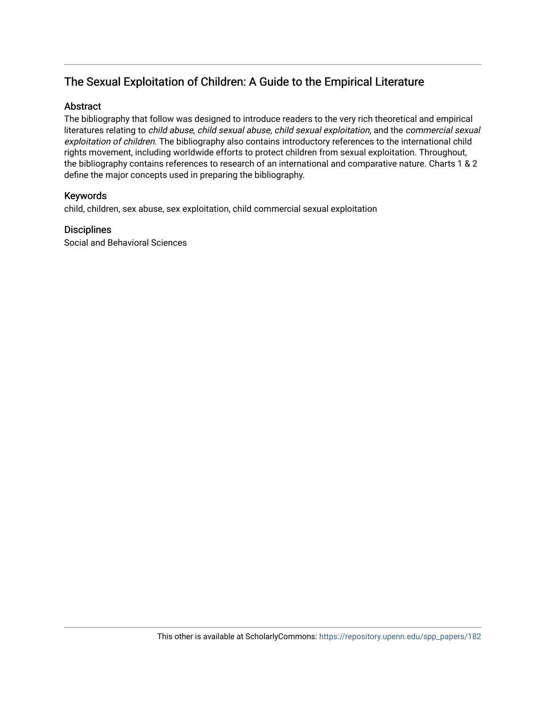# The Sexual Exploitation of Children: A Guide to the Empirical Literature

## Abstract

The bibliography that follow was designed to introduce readers to the very rich theoretical and empirical literatures relating to child abuse, child sexual abuse, child sexual exploitation, and the commercial sexual exploitation of children. The bibliography also contains introductory references to the international child rights movement, including worldwide efforts to protect children from sexual exploitation. Throughout, the bibliography contains references to research of an international and comparative nature. Charts 1 & 2 define the major concepts used in preparing the bibliography.

#### Keywords

child, children, sex abuse, sex exploitation, child commercial sexual exploitation

#### **Disciplines**

Social and Behavioral Sciences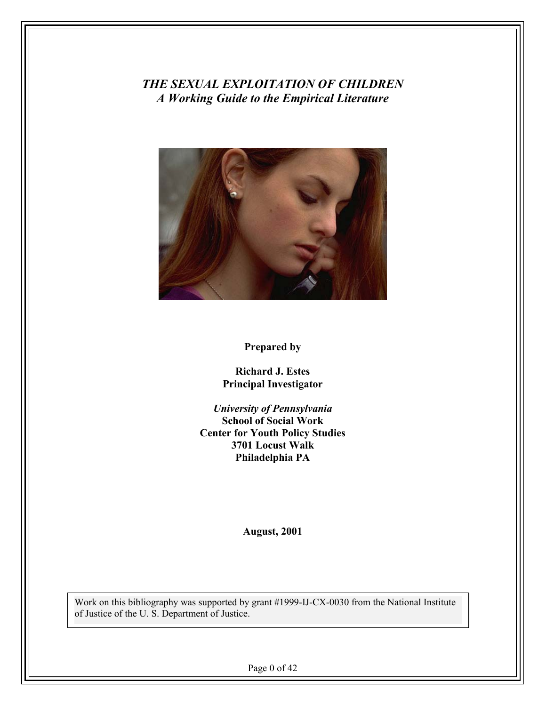*THE SEXUAL EXPLOITATION OF CHILDREN A Working Guide to the Empirical Literature*



## **Prepared by**

**Richard J. Estes Principal Investigator** 

*University of Pennsylvania*  **School of Social Work Center for Youth Policy Studies 3701 Locust Walk Philadelphia PA** 

**August, 2001** 

Work on this bibliography was supported by grant #1999-IJ-CX-0030 from the National Institute of Justice of the U. S. Department of Justice.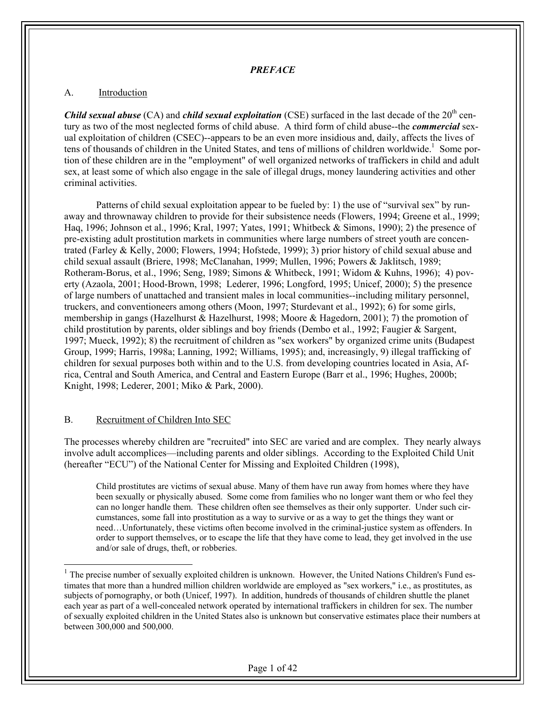#### *PREFACE*

#### A. Introduction

*Child sexual abuse* (CA) and *child sexual exploitation* (CSE) surfaced in the last decade of the 20<sup>th</sup> century as two of the most neglected forms of child abuse. A third form of child abuse--the *commercial* sexual exploitation of children (CSEC)--appears to be an even more insidious and, daily, affects the lives of tens of thousands of children in the United States, and tens of millions of children worldwide.<sup>1</sup> Some portion of these children are in the "employment" of well organized networks of traffickers in child and adult sex, at least some of which also engage in the sale of illegal drugs, money laundering activities and other criminal activities.

Patterns of child sexual exploitation appear to be fueled by: 1) the use of "survival sex" by runaway and thrownaway children to provide for their subsistence needs (Flowers, 1994; Greene et al., 1999; Haq, 1996; Johnson et al., 1996; Kral, 1997; Yates, 1991; Whitbeck & Simons, 1990); 2) the presence of pre-existing adult prostitution markets in communities where large numbers of street youth are concentrated (Farley & Kelly, 2000; Flowers, 1994; Hofstede, 1999); 3) prior history of child sexual abuse and child sexual assault (Briere, 1998; McClanahan, 1999; Mullen, 1996; Powers & Jaklitsch, 1989; Rotheram-Borus, et al., 1996; Seng, 1989; Simons & Whitbeck, 1991; Widom & Kuhns, 1996); 4) poverty (Azaola, 2001; Hood-Brown, 1998; Lederer, 1996; Longford, 1995; Unicef, 2000); 5) the presence of large numbers of unattached and transient males in local communities--including military personnel, truckers, and conventioneers among others (Moon, 1997; Sturdevant et al., 1992); 6) for some girls, membership in gangs (Hazelhurst & Hazelhurst, 1998; Moore & Hagedorn, 2001); 7) the promotion of child prostitution by parents, older siblings and boy friends (Dembo et al., 1992; Faugier & Sargent, 1997; Mueck, 1992); 8) the recruitment of children as "sex workers" by organized crime units (Budapest Group, 1999; Harris, 1998a; Lanning, 1992; Williams, 1995); and, increasingly, 9) illegal trafficking of children for sexual purposes both within and to the U.S. from developing countries located in Asia, Africa, Central and South America, and Central and Eastern Europe (Barr et al., 1996; Hughes, 2000b; Knight, 1998; Lederer, 2001; Miko & Park, 2000).

#### B. Recruitment of Children Into SEC

1

The processes whereby children are "recruited" into SEC are varied and are complex. They nearly always involve adult accomplices—including parents and older siblings. According to the Exploited Child Unit (hereafter "ECU") of the National Center for Missing and Exploited Children (1998),

Child prostitutes are victims of sexual abuse. Many of them have run away from homes where they have been sexually or physically abused. Some come from families who no longer want them or who feel they can no longer handle them. These children often see themselves as their only supporter. Under such circumstances, some fall into prostitution as a way to survive or as a way to get the things they want or need…Unfortunately, these victims often become involved in the criminal-justice system as offenders. In order to support themselves, or to escape the life that they have come to lead, they get involved in the use and/or sale of drugs, theft, or robberies.

 $<sup>1</sup>$  The precise number of sexually exploited children is unknown. However, the United Nations Children's Fund es-</sup> timates that more than a hundred million children worldwide are employed as "sex workers," i.e., as prostitutes, as subjects of pornography, or both (Unicef, 1997). In addition, hundreds of thousands of children shuttle the planet each year as part of a well-concealed network operated by international traffickers in children for sex. The number of sexually exploited children in the United States also is unknown but conservative estimates place their numbers at between 300,000 and 500,000.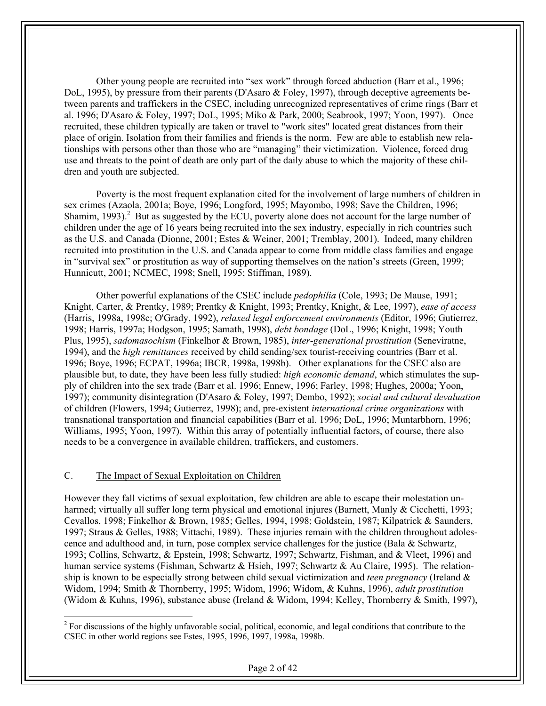Other young people are recruited into "sex work" through forced abduction (Barr et al., 1996; DoL, 1995), by pressure from their parents (D'Asaro & Foley, 1997), through deceptive agreements between parents and traffickers in the CSEC, including unrecognized representatives of crime rings (Barr et al. 1996; D'Asaro & Foley, 1997; DoL, 1995; Miko & Park, 2000; Seabrook, 1997; Yoon, 1997). Once recruited, these children typically are taken or travel to "work sites" located great distances from their place of origin. Isolation from their families and friends is the norm. Few are able to establish new relationships with persons other than those who are "managing" their victimization. Violence, forced drug use and threats to the point of death are only part of the daily abuse to which the majority of these children and youth are subjected.

Poverty is the most frequent explanation cited for the involvement of large numbers of children in sex crimes (Azaola, 2001a; Boye, 1996; Longford, 1995; Mayombo, 1998; Save the Children, 1996; Shamim,  $1993$ ).<sup>2</sup> But as suggested by the ECU, poverty alone does not account for the large number of children under the age of 16 years being recruited into the sex industry, especially in rich countries such as the U.S. and Canada (Dionne, 2001; Estes & Weiner, 2001; Tremblay, 2001). Indeed, many children recruited into prostitution in the U.S. and Canada appear to come from middle class families and engage in "survival sex" or prostitution as way of supporting themselves on the nation's streets (Green, 1999; Hunnicutt, 2001; NCMEC, 1998; Snell, 1995; Stiffman, 1989).

Other powerful explanations of the CSEC include *pedophilia* (Cole, 1993; De Mause, 1991; Knight, Carter, & Prentky, 1989; Prentky & Knight, 1993; Prentky, Knight, & Lee, 1997), *ease of access* (Harris, 1998a, 1998c; O'Grady, 1992), *relaxed legal enforcement environments* (Editor, 1996; Gutierrez, 1998; Harris, 1997a; Hodgson, 1995; Samath, 1998), *debt bondage* (DoL, 1996; Knight, 1998; Youth Plus, 1995), *sadomasochism* (Finkelhor & Brown, 1985), *inter-generational prostitution* (Seneviratne, 1994), and the *high remittances* received by child sending/sex tourist-receiving countries (Barr et al. 1996; Boye, 1996; ECPAT, 1996a; IBCR, 1998a, 1998b). Other explanations for the CSEC also are plausible but, to date, they have been less fully studied: *high economic demand*, which stimulates the supply of children into the sex trade (Barr et al. 1996; Ennew, 1996; Farley, 1998; Hughes, 2000a; Yoon, 1997); community disintegration (D'Asaro & Foley, 1997; Dembo, 1992); *social and cultural devaluation* of children (Flowers, 1994; Gutierrez, 1998); and, pre-existent *international crime organizations* with transnational transportation and financial capabilities (Barr et al. 1996; DoL, 1996; Muntarbhorn, 1996; Williams, 1995; Yoon, 1997). Within this array of potentially influential factors, of course, there also needs to be a convergence in available children, traffickers, and customers.

#### C. The Impact of Sexual Exploitation on Children

1

However they fall victims of sexual exploitation, few children are able to escape their molestation unharmed; virtually all suffer long term physical and emotional injures (Barnett, Manly & Cicchetti, 1993; Cevallos, 1998; Finkelhor & Brown, 1985; Gelles, 1994, 1998; Goldstein, 1987; Kilpatrick & Saunders, 1997; Straus & Gelles, 1988; Vittachi, 1989). These injuries remain with the children throughout adolescence and adulthood and, in turn, pose complex service challenges for the justice (Bala & Schwartz, 1993; Collins, Schwartz, & Epstein, 1998; Schwartz, 1997; Schwartz, Fishman, and & Vleet, 1996) and human service systems (Fishman, Schwartz & Hsieh, 1997; Schwartz & Au Claire, 1995). The relationship is known to be especially strong between child sexual victimization and *teen pregnancy* (Ireland & Widom, 1994; Smith & Thornberry, 1995; Widom, 1996; Widom, & Kuhns, 1996), *adult prostitution* (Widom & Kuhns, 1996), substance abuse (Ireland & Widom, 1994; Kelley, Thornberry & Smith, 1997),

 $2^2$  For discussions of the highly unfavorable social, political, economic, and legal conditions that contribute to the CSEC in other world regions see Estes, 1995, 1996, 1997, 1998a, 1998b.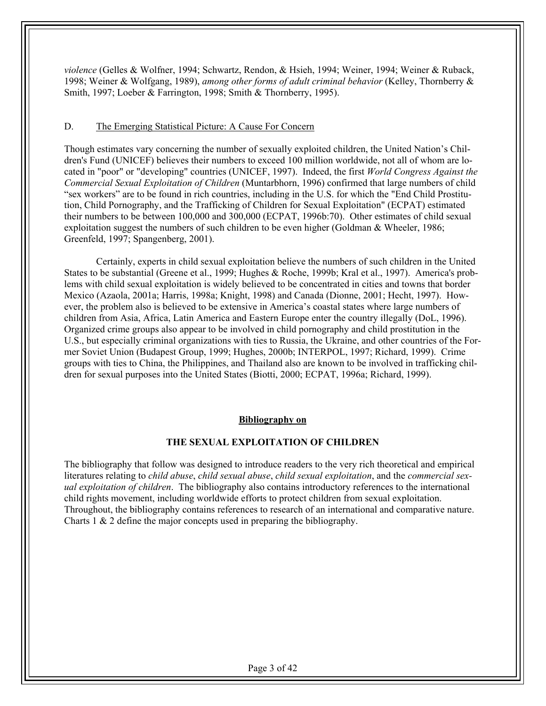*violence* (Gelles & Wolfner, 1994; Schwartz, Rendon, & Hsieh, 1994; Weiner, 1994; Weiner & Ruback, 1998; Weiner & Wolfgang, 1989), *among other forms of adult criminal behavior* (Kelley, Thornberry & Smith, 1997; Loeber & Farrington, 1998; Smith & Thornberry, 1995).

#### D. The Emerging Statistical Picture: A Cause For Concern

Though estimates vary concerning the number of sexually exploited children, the United Nation's Children's Fund (UNICEF) believes their numbers to exceed 100 million worldwide, not all of whom are located in "poor" or "developing" countries (UNICEF, 1997). Indeed, the first *World Congress Against the Commercial Sexual Exploitation of Children* (Muntarbhorn, 1996) confirmed that large numbers of child "sex workers" are to be found in rich countries, including in the U.S. for which the "End Child Prostitution, Child Pornography, and the Trafficking of Children for Sexual Exploitation" (ECPAT) estimated their numbers to be between 100,000 and 300,000 (ECPAT, 1996b:70). Other estimates of child sexual exploitation suggest the numbers of such children to be even higher (Goldman & Wheeler, 1986; Greenfeld, 1997; Spangenberg, 2001).

Certainly, experts in child sexual exploitation believe the numbers of such children in the United States to be substantial (Greene et al., 1999; Hughes & Roche, 1999b; Kral et al., 1997). America's problems with child sexual exploitation is widely believed to be concentrated in cities and towns that border Mexico (Azaola, 2001a; Harris, 1998a; Knight, 1998) and Canada (Dionne, 2001; Hecht, 1997). However, the problem also is believed to be extensive in America's coastal states where large numbers of children from Asia, Africa, Latin America and Eastern Europe enter the country illegally (DoL, 1996). Organized crime groups also appear to be involved in child pornography and child prostitution in the U.S., but especially criminal organizations with ties to Russia, the Ukraine, and other countries of the Former Soviet Union (Budapest Group, 1999; Hughes, 2000b; INTERPOL, 1997; Richard, 1999). Crime groups with ties to China, the Philippines, and Thailand also are known to be involved in trafficking children for sexual purposes into the United States (Biotti, 2000; ECPAT, 1996a; Richard, 1999).

#### **Bibliography on**

#### **THE SEXUAL EXPLOITATION OF CHILDREN**

The bibliography that follow was designed to introduce readers to the very rich theoretical and empirical literatures relating to *child abuse*, *child sexual abuse*, *child sexual exploitation*, and the *commercial sexual exploitation of children*. The bibliography also contains introductory references to the international child rights movement, including worldwide efforts to protect children from sexual exploitation. Throughout, the bibliography contains references to research of an international and comparative nature. Charts 1 & 2 define the major concepts used in preparing the bibliography.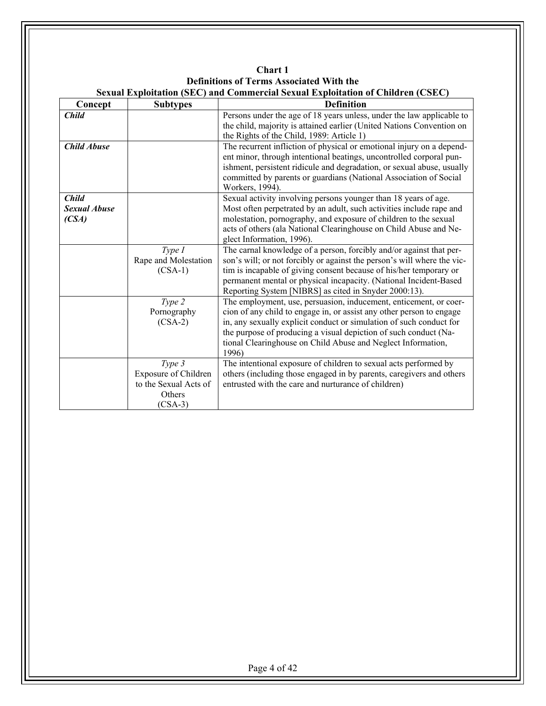|                                              |                                                                                       | <b>Sexual Exploitation (SEC) and Commercial Sexual Exploitation of Children (CSEC)</b>                                                                                                                                                                                                                                                                        |
|----------------------------------------------|---------------------------------------------------------------------------------------|---------------------------------------------------------------------------------------------------------------------------------------------------------------------------------------------------------------------------------------------------------------------------------------------------------------------------------------------------------------|
| Concept                                      | <b>Subtypes</b>                                                                       | <b>Definition</b>                                                                                                                                                                                                                                                                                                                                             |
| <b>Child</b>                                 |                                                                                       | Persons under the age of 18 years unless, under the law applicable to<br>the child, majority is attained earlier (United Nations Convention on<br>the Rights of the Child, 1989: Article 1)                                                                                                                                                                   |
| <b>Child Abuse</b>                           |                                                                                       | The recurrent infliction of physical or emotional injury on a depend-<br>ent minor, through intentional beatings, uncontrolled corporal pun-<br>ishment, persistent ridicule and degradation, or sexual abuse, usually<br>committed by parents or guardians (National Association of Social<br>Workers, 1994).                                                |
| <b>Child</b><br><b>Sexual Abuse</b><br>(CSA) |                                                                                       | Sexual activity involving persons younger than 18 years of age.<br>Most often perpetrated by an adult, such activities include rape and<br>molestation, pornography, and exposure of children to the sexual<br>acts of others (ala National Clearinghouse on Child Abuse and Ne-<br>glect Information, 1996).                                                 |
|                                              | Type I<br>Rape and Molestation<br>$(CSA-1)$                                           | The carnal knowledge of a person, forcibly and/or against that per-<br>son's will; or not forcibly or against the person's will where the vic-<br>tim is incapable of giving consent because of his/her temporary or<br>permanent mental or physical incapacity. (National Incident-Based<br>Reporting System [NIBRS] as cited in Snyder 2000:13).            |
|                                              | Type 2<br>Pornography<br>$(CSA-2)$                                                    | The employment, use, persuasion, inducement, enticement, or coer-<br>cion of any child to engage in, or assist any other person to engage<br>in, any sexually explicit conduct or simulation of such conduct for<br>the purpose of producing a visual depiction of such conduct (Na-<br>tional Clearinghouse on Child Abuse and Neglect Information,<br>1996) |
|                                              | Type 3<br><b>Exposure of Children</b><br>to the Sexual Acts of<br>Others<br>$(CSA-3)$ | The intentional exposure of children to sexual acts performed by<br>others (including those engaged in by parents, caregivers and others<br>entrusted with the care and nurturance of children)                                                                                                                                                               |

**Chart 1 Definitions of Terms Associated With the**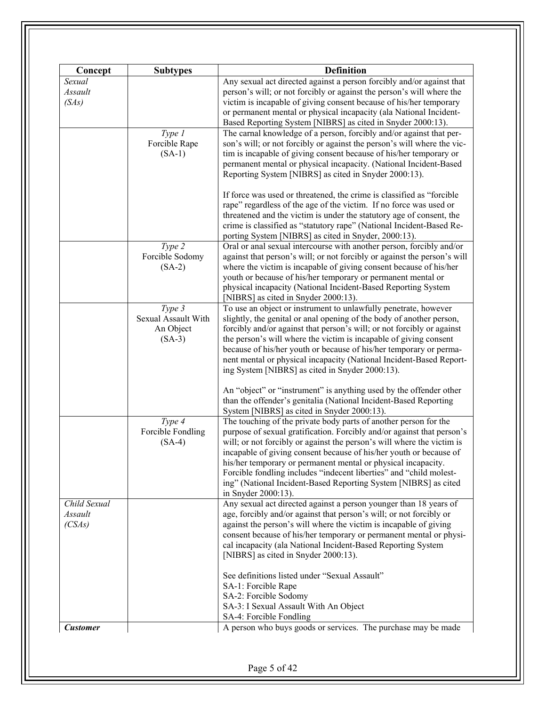| Concept         | <b>Subtypes</b>     | <b>Definition</b>                                                                                                                                                                                    |
|-----------------|---------------------|------------------------------------------------------------------------------------------------------------------------------------------------------------------------------------------------------|
| Sexual          |                     | Any sexual act directed against a person forcibly and/or against that                                                                                                                                |
| Assault         |                     | person's will; or not forcibly or against the person's will where the                                                                                                                                |
| (SAs)           |                     | victim is incapable of giving consent because of his/her temporary                                                                                                                                   |
|                 |                     |                                                                                                                                                                                                      |
|                 |                     | or permanent mental or physical incapacity (ala National Incident-<br>Based Reporting System [NIBRS] as cited in Snyder 2000:13).                                                                    |
|                 | Type 1              | The carnal knowledge of a person, forcibly and/or against that per-                                                                                                                                  |
|                 | Forcible Rape       | son's will; or not forcibly or against the person's will where the vic-                                                                                                                              |
|                 | $(SA-1)$            | tim is incapable of giving consent because of his/her temporary or                                                                                                                                   |
|                 |                     | permanent mental or physical incapacity. (National Incident-Based                                                                                                                                    |
|                 |                     | Reporting System [NIBRS] as cited in Snyder 2000:13).                                                                                                                                                |
|                 |                     | If force was used or threatened, the crime is classified as "forcible                                                                                                                                |
|                 |                     | rape" regardless of the age of the victim. If no force was used or                                                                                                                                   |
|                 |                     | threatened and the victim is under the statutory age of consent, the<br>crime is classified as "statutory rape" (National Incident-Based Re-<br>porting System [NIBRS] as cited in Snyder, 2000:13). |
|                 |                     |                                                                                                                                                                                                      |
|                 | $Type\overline{2}$  | Oral or anal sexual intercourse with another person, forcibly and/or                                                                                                                                 |
|                 | Forcible Sodomy     | against that person's will; or not forcibly or against the person's will                                                                                                                             |
|                 | $(SA-2)$            | where the victim is incapable of giving consent because of his/her                                                                                                                                   |
|                 |                     | youth or because of his/her temporary or permanent mental or                                                                                                                                         |
|                 |                     | physical incapacity (National Incident-Based Reporting System                                                                                                                                        |
|                 |                     | [NIBRS] as cited in Snyder 2000:13).                                                                                                                                                                 |
|                 | Type 3              | To use an object or instrument to unlawfully penetrate, however                                                                                                                                      |
|                 | Sexual Assault With | slightly, the genital or anal opening of the body of another person,                                                                                                                                 |
|                 | An Object           | forcibly and/or against that person's will; or not forcibly or against                                                                                                                               |
|                 | $(SA-3)$            | the person's will where the victim is incapable of giving consent                                                                                                                                    |
|                 |                     | because of his/her youth or because of his/her temporary or perma-                                                                                                                                   |
|                 |                     | nent mental or physical incapacity (National Incident-Based Report-                                                                                                                                  |
|                 |                     | ing System [NIBRS] as cited in Snyder 2000:13).                                                                                                                                                      |
|                 |                     | An "object" or "instrument" is anything used by the offender other                                                                                                                                   |
|                 |                     | than the offender's genitalia (National Incident-Based Reporting                                                                                                                                     |
|                 |                     |                                                                                                                                                                                                      |
|                 |                     | System [NIBRS] as cited in Snyder 2000:13).                                                                                                                                                          |
|                 | Type 4              | The touching of the private body parts of another person for the                                                                                                                                     |
|                 | Forcible Fondling   | purpose of sexual gratification. Forcibly and/or against that person's                                                                                                                               |
|                 | $(SA-4)$            | will; or not forcibly or against the person's will where the victim is                                                                                                                               |
|                 |                     | incapable of giving consent because of his/her youth or because of                                                                                                                                   |
|                 |                     | his/her temporary or permanent mental or physical incapacity.                                                                                                                                        |
|                 |                     | Forcible fondling includes "indecent liberties" and "child molest-                                                                                                                                   |
|                 |                     | ing" (National Incident-Based Reporting System [NIBRS] as cited                                                                                                                                      |
|                 |                     | in Snyder 2000:13).                                                                                                                                                                                  |
| Child Sexual    |                     | Any sexual act directed against a person younger than 18 years of                                                                                                                                    |
| Assault         |                     | age, forcibly and/or against that person's will; or not forcibly or                                                                                                                                  |
| (CSAs)          |                     | against the person's will where the victim is incapable of giving                                                                                                                                    |
|                 |                     | consent because of his/her temporary or permanent mental or physi-                                                                                                                                   |
|                 |                     |                                                                                                                                                                                                      |
|                 |                     | cal incapacity (ala National Incident-Based Reporting System<br>[NIBRS] as cited in Snyder 2000:13).                                                                                                 |
|                 |                     |                                                                                                                                                                                                      |
|                 |                     | See definitions listed under "Sexual Assault"                                                                                                                                                        |
|                 |                     | SA-1: Forcible Rape                                                                                                                                                                                  |
|                 |                     | SA-2: Forcible Sodomy                                                                                                                                                                                |
|                 |                     | SA-3: I Sexual Assault With An Object                                                                                                                                                                |
|                 |                     | SA-4: Forcible Fondling                                                                                                                                                                              |
|                 |                     |                                                                                                                                                                                                      |
| <b>Customer</b> |                     | A person who buys goods or services. The purchase may be made                                                                                                                                        |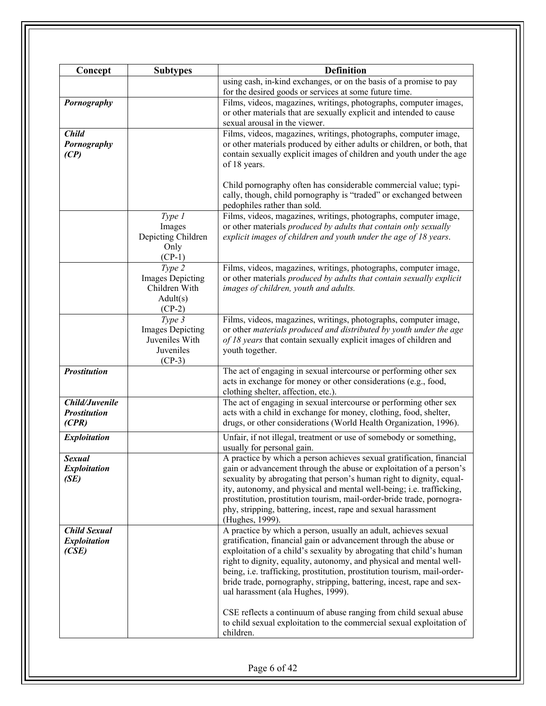| Concept             | <b>Subtypes</b>                          | <b>Definition</b>                                                                                             |
|---------------------|------------------------------------------|---------------------------------------------------------------------------------------------------------------|
|                     |                                          | using cash, in-kind exchanges, or on the basis of a promise to pay                                            |
|                     |                                          | for the desired goods or services at some future time.                                                        |
| Pornography         |                                          | Films, videos, magazines, writings, photographs, computer images,                                             |
|                     |                                          | or other materials that are sexually explicit and intended to cause                                           |
|                     |                                          | sexual arousal in the viewer.                                                                                 |
| <b>Child</b>        |                                          | Films, videos, magazines, writings, photographs, computer image,                                              |
| Pornography         |                                          | or other materials produced by either adults or children, or both, that                                       |
| (CP)                |                                          | contain sexually explicit images of children and youth under the age                                          |
|                     |                                          | of 18 years.                                                                                                  |
|                     |                                          |                                                                                                               |
|                     |                                          | Child pornography often has considerable commercial value; typi-                                              |
|                     |                                          | cally, though, child pornography is "traded" or exchanged between                                             |
|                     |                                          | pedophiles rather than sold.                                                                                  |
|                     | Type 1                                   | Films, videos, magazines, writings, photographs, computer image,                                              |
|                     | Images                                   | or other materials produced by adults that contain only sexually                                              |
|                     | Depicting Children                       | explicit images of children and youth under the age of 18 years.                                              |
|                     | Only                                     |                                                                                                               |
|                     | $(CP-1)$                                 |                                                                                                               |
|                     | Type 2                                   | Films, videos, magazines, writings, photographs, computer image,                                              |
|                     |                                          |                                                                                                               |
|                     | <b>Images Depicting</b><br>Children With | or other materials produced by adults that contain sexually explicit<br>images of children, youth and adults. |
|                     |                                          |                                                                                                               |
|                     | Adult(s)                                 |                                                                                                               |
|                     | $(CP-2)$                                 |                                                                                                               |
|                     | Type 3                                   | Films, videos, magazines, writings, photographs, computer image,                                              |
|                     | <b>Images Depicting</b>                  | or other materials produced and distributed by youth under the age                                            |
|                     | Juveniles With                           | of 18 years that contain sexually explicit images of children and                                             |
|                     | Juveniles                                | youth together.                                                                                               |
| <b>Prostitution</b> | $(CP-3)$                                 |                                                                                                               |
|                     |                                          | The act of engaging in sexual intercourse or performing other sex                                             |
|                     |                                          | acts in exchange for money or other considerations (e.g., food,                                               |
|                     |                                          | clothing shelter, affection, etc.).                                                                           |
| Child/Juvenile      |                                          | The act of engaging in sexual intercourse or performing other sex                                             |
| <b>Prostitution</b> |                                          | acts with a child in exchange for money, clothing, food, shelter,                                             |
| (CPR)               |                                          | drugs, or other considerations (World Health Organization, 1996).                                             |
| <b>Exploitation</b> |                                          | Unfair, if not illegal, treatment or use of somebody or something,                                            |
|                     |                                          | usually for personal gain.                                                                                    |
| <b>Sexual</b>       |                                          | A practice by which a person achieves sexual gratification, financial                                         |
| <b>Exploitation</b> |                                          | gain or advancement through the abuse or exploitation of a person's                                           |
| (SE)                |                                          | sexuality by abrogating that person's human right to dignity, equal-                                          |
|                     |                                          | ity, autonomy, and physical and mental well-being; i.e. trafficking,                                          |
|                     |                                          | prostitution, prostitution tourism, mail-order-bride trade, pornogra-                                         |
|                     |                                          | phy, stripping, battering, incest, rape and sexual harassment                                                 |
|                     |                                          | (Hughes, 1999).                                                                                               |
| <b>Child Sexual</b> |                                          | A practice by which a person, usually an adult, achieves sexual                                               |
| <b>Exploitation</b> |                                          | gratification, financial gain or advancement through the abuse or                                             |
| (CSE)               |                                          | exploitation of a child's sexuality by abrogating that child's human                                          |
|                     |                                          | right to dignity, equality, autonomy, and physical and mental well-                                           |
|                     |                                          | being, i.e. trafficking, prostitution, prostitution tourism, mail-order-                                      |
|                     |                                          | bride trade, pornography, stripping, battering, incest, rape and sex-                                         |
|                     |                                          | ual harassment (ala Hughes, 1999).                                                                            |
|                     |                                          |                                                                                                               |
|                     |                                          | CSE reflects a continuum of abuse ranging from child sexual abuse                                             |
|                     |                                          | to child sexual exploitation to the commercial sexual exploitation of                                         |
|                     |                                          | children.                                                                                                     |
|                     |                                          |                                                                                                               |
|                     |                                          |                                                                                                               |
|                     |                                          |                                                                                                               |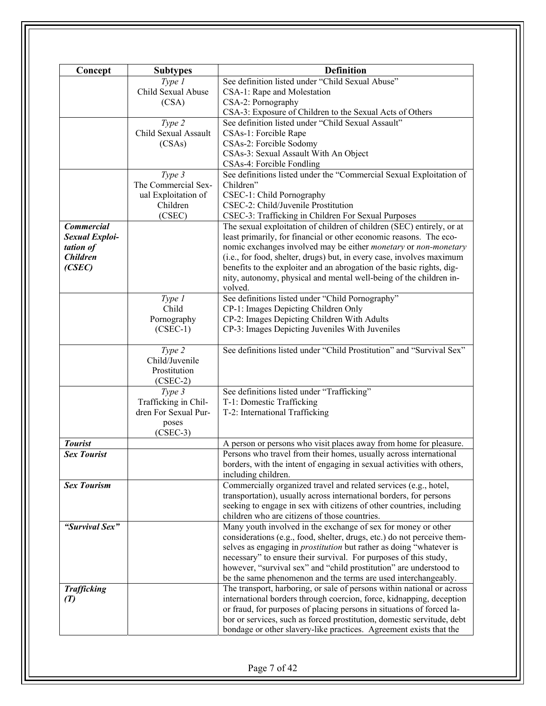| Concept               | <b>Subtypes</b>      | <b>Definition</b>                                                             |
|-----------------------|----------------------|-------------------------------------------------------------------------------|
|                       | Type 1               | See definition listed under "Child Sexual Abuse"                              |
|                       | Child Sexual Abuse   | CSA-1: Rape and Molestation                                                   |
|                       | (CSA)                | CSA-2: Pornography                                                            |
|                       |                      | CSA-3: Exposure of Children to the Sexual Acts of Others                      |
|                       | Type 2               | See definition listed under "Child Sexual Assault"                            |
|                       | Child Sexual Assault | CSAs-1: Forcible Rape                                                         |
|                       | (CSAs)               | CSAs-2: Forcible Sodomy                                                       |
|                       |                      | CSAs-3: Sexual Assault With An Object                                         |
|                       |                      |                                                                               |
|                       |                      | CSAs-4: Forcible Fondling                                                     |
|                       | Type 3               | See definitions listed under the "Commercial Sexual Exploitation of           |
|                       | The Commercial Sex-  | Children"                                                                     |
|                       | ual Exploitation of  | CSEC-1: Child Pornography                                                     |
|                       | Children             | CSEC-2: Child/Juvenile Prostitution                                           |
|                       | (CSEC)               | CSEC-3: Trafficking in Children For Sexual Purposes                           |
| <b>Commercial</b>     |                      | The sexual exploitation of children of children (SEC) entirely, or at         |
| <b>Sexual Exploi-</b> |                      | least primarily, for financial or other economic reasons. The eco-            |
| tation of             |                      | nomic exchanges involved may be either <i>monetary</i> or <i>non-monetary</i> |
| <b>Children</b>       |                      | (i.e., for food, shelter, drugs) but, in every case, involves maximum         |
| (CSEC)                |                      | benefits to the exploiter and an abrogation of the basic rights, dig-         |
|                       |                      | nity, autonomy, physical and mental well-being of the children in-            |
|                       |                      | volved.                                                                       |
|                       |                      |                                                                               |
|                       | Type 1               | See definitions listed under "Child Pornography"                              |
|                       | Child                | CP-1: Images Depicting Children Only                                          |
|                       | Pornography          | CP-2: Images Depicting Children With Adults                                   |
|                       | $(CSEC-1)$           | CP-3: Images Depicting Juveniles With Juveniles                               |
|                       |                      |                                                                               |
|                       | Type 2               | See definitions listed under "Child Prostitution" and "Survival Sex"          |
|                       | Child/Juvenile       |                                                                               |
|                       | Prostitution         |                                                                               |
|                       | $(CSEC-2)$           |                                                                               |
|                       | Type 3               | See definitions listed under "Trafficking"                                    |
|                       | Trafficking in Chil- | T-1: Domestic Trafficking                                                     |
|                       | dren For Sexual Pur- | T-2: International Trafficking                                                |
|                       | poses                |                                                                               |
|                       | $(CSEC-3)$           |                                                                               |
| <b>Tourist</b>        |                      | A person or persons who visit places away from home for pleasure.             |
| <b>Sex Tourist</b>    |                      | Persons who travel from their homes, usually across international             |
|                       |                      | borders, with the intent of engaging in sexual activities with others,        |
|                       |                      | including children.                                                           |
| <b>Sex Tourism</b>    |                      | Commercially organized travel and related services (e.g., hotel,              |
|                       |                      | transportation), usually across international borders, for persons            |
|                       |                      | seeking to engage in sex with citizens of other countries, including          |
|                       |                      |                                                                               |
|                       |                      | children who are citizens of those countries.                                 |
| "Survival Sex"        |                      | Many youth involved in the exchange of sex for money or other                 |
|                       |                      | considerations (e.g., food, shelter, drugs, etc.) do not perceive them-       |
|                       |                      | selves as engaging in <i>prostitution</i> but rather as doing "whatever is    |
|                       |                      | necessary" to ensure their survival. For purposes of this study,              |
|                       |                      | however, "survival sex" and "child prostitution" are understood to            |
|                       |                      | be the same phenomenon and the terms are used interchangeably.                |
| <b>Trafficking</b>    |                      | The transport, harboring, or sale of persons within national or across        |
| (T)                   |                      | international borders through coercion, force, kidnapping, deception          |
|                       |                      | or fraud, for purposes of placing persons in situations of forced la-         |
|                       |                      | bor or services, such as forced prostitution, domestic servitude, debt        |
|                       |                      | bondage or other slavery-like practices. Agreement exists that the            |
|                       |                      |                                                                               |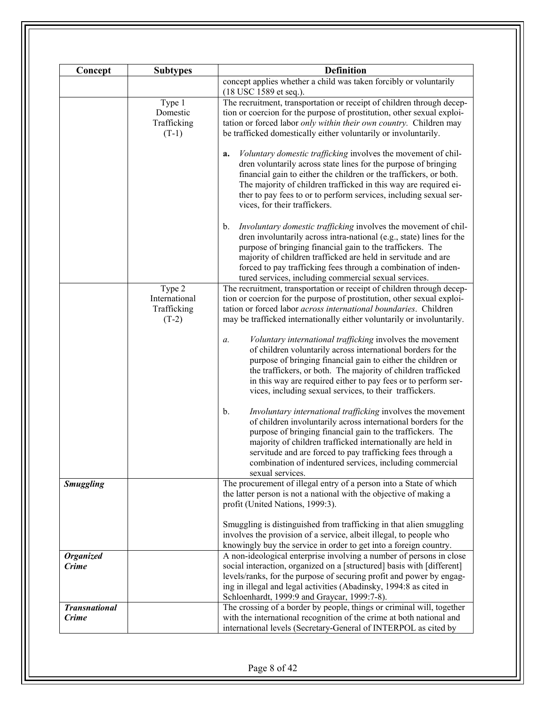| <b>Subtypes</b> | <b>Definition</b>                                                                                                  |
|-----------------|--------------------------------------------------------------------------------------------------------------------|
|                 | concept applies whether a child was taken forcibly or voluntarily<br>(18 USC 1589 et seq.).                        |
|                 | The recruitment, transportation or receipt of children through decep-                                              |
|                 | tion or coercion for the purpose of prostitution, other sexual exploi-                                             |
|                 | tation or forced labor only within their own country. Children may                                                 |
|                 | be trafficked domestically either voluntarily or involuntarily.                                                    |
|                 |                                                                                                                    |
|                 | Voluntary domestic trafficking involves the movement of chil-<br>a.                                                |
|                 | dren voluntarily across state lines for the purpose of bringing                                                    |
|                 | financial gain to either the children or the traffickers, or both.                                                 |
|                 | The majority of children trafficked in this way are required ei-                                                   |
|                 | ther to pay fees to or to perform services, including sexual ser-                                                  |
|                 | vices, for their traffickers.                                                                                      |
|                 | Involuntary domestic trafficking involves the movement of chil-<br>$b_{\cdot}$                                     |
|                 | dren involuntarily across intra-national (e.g., state) lines for the                                               |
|                 | purpose of bringing financial gain to the traffickers. The                                                         |
|                 | majority of children trafficked are held in servitude and are                                                      |
|                 | forced to pay trafficking fees through a combination of inden-                                                     |
|                 | tured services, including commercial sexual services.                                                              |
|                 | The recruitment, transportation or receipt of children through decep-                                              |
|                 | tion or coercion for the purpose of prostitution, other sexual exploi-                                             |
|                 | tation or forced labor <i>across international boundaries</i> . Children                                           |
|                 | may be trafficked internationally either voluntarily or involuntarily.                                             |
|                 |                                                                                                                    |
|                 | Voluntary international trafficking involves the movement<br>a.                                                    |
|                 | of children voluntarily across international borders for the                                                       |
|                 | purpose of bringing financial gain to either the children or                                                       |
|                 | the traffickers, or both. The majority of children trafficked                                                      |
|                 | in this way are required either to pay fees or to perform ser-                                                     |
|                 | vices, including sexual services, to their traffickers.                                                            |
|                 | Involuntary international trafficking involves the movement<br>b.                                                  |
|                 | of children involuntarily across international borders for the                                                     |
|                 | purpose of bringing financial gain to the traffickers. The                                                         |
|                 | majority of children trafficked internationally are held in                                                        |
|                 | servitude and are forced to pay trafficking fees through a                                                         |
|                 | combination of indentured services, including commercial                                                           |
|                 | sexual services.                                                                                                   |
|                 | The procurement of illegal entry of a person into a State of which                                                 |
|                 | the latter person is not a national with the objective of making a                                                 |
|                 | profit (United Nations, 1999:3).                                                                                   |
|                 | Smuggling is distinguished from trafficking in that alien smuggling                                                |
|                 | involves the provision of a service, albeit illegal, to people who                                                 |
|                 | knowingly buy the service in order to get into a foreign country.                                                  |
|                 | A non-ideological enterprise involving a number of persons in close                                                |
|                 | social interaction, organized on a [structured] basis with [different]                                             |
|                 | levels/ranks, for the purpose of securing profit and power by engag-                                               |
|                 | ing in illegal and legal activities (Abadinsky, 1994:8 as cited in<br>Schloenhardt, 1999:9 and Graycar, 1999:7-8). |
|                 | The crossing of a border by people, things or criminal will, together                                              |
|                 | with the international recognition of the crime at both national and                                               |
|                 | international levels (Secretary-General of INTERPOL as cited by                                                    |
|                 | Type 1<br>Domestic<br>Trafficking<br>$(T-1)$<br>Type $2$<br>International<br>Trafficking<br>$(T-2)$                |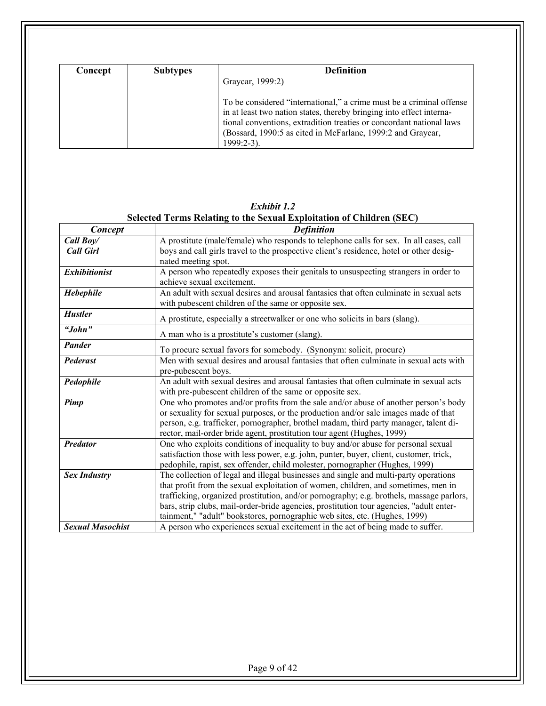| Concept | <b>Subtypes</b> | <b>Definition</b>                                                                                                                                                                                                                                                                                    |
|---------|-----------------|------------------------------------------------------------------------------------------------------------------------------------------------------------------------------------------------------------------------------------------------------------------------------------------------------|
|         |                 | Graycar, 1999:2)                                                                                                                                                                                                                                                                                     |
|         |                 | To be considered "international," a crime must be a criminal offense<br>in at least two nation states, thereby bringing into effect interna-<br>tional conventions, extradition treaties or concordant national laws<br>(Bossard, 1990:5 as cited in McFarlane, 1999:2 and Graycar,<br>$1999:2-3$ ). |

|                         | Selected Terms Relating to the Sexual Exploitation of Children (SEC)                                                                                                                                                                                                                                                                                                                                                                            |
|-------------------------|-------------------------------------------------------------------------------------------------------------------------------------------------------------------------------------------------------------------------------------------------------------------------------------------------------------------------------------------------------------------------------------------------------------------------------------------------|
| Concept                 | <b>Definition</b>                                                                                                                                                                                                                                                                                                                                                                                                                               |
| Call Boy/               | A prostitute (male/female) who responds to telephone calls for sex. In all cases, call                                                                                                                                                                                                                                                                                                                                                          |
| <b>Call Girl</b>        | boys and call girls travel to the prospective client's residence, hotel or other desig-<br>nated meeting spot.                                                                                                                                                                                                                                                                                                                                  |
| <b>Exhibitionist</b>    | A person who repeatedly exposes their genitals to unsuspecting strangers in order to<br>achieve sexual excitement.                                                                                                                                                                                                                                                                                                                              |
| Hebephile               | An adult with sexual desires and arousal fantasies that often culminate in sexual acts<br>with pubescent children of the same or opposite sex.                                                                                                                                                                                                                                                                                                  |
| <b>Hustler</b>          | A prostitute, especially a streetwalker or one who solicits in bars (slang).                                                                                                                                                                                                                                                                                                                                                                    |
| "John"                  | A man who is a prostitute's customer (slang).                                                                                                                                                                                                                                                                                                                                                                                                   |
| Pander                  | To procure sexual favors for somebody. (Synonym: solicit, procure)                                                                                                                                                                                                                                                                                                                                                                              |
| Pederast                | Men with sexual desires and arousal fantasies that often culminate in sexual acts with<br>pre-pubescent boys.                                                                                                                                                                                                                                                                                                                                   |
| Pedophile               | An adult with sexual desires and arousal fantasies that often culminate in sexual acts<br>with pre-pubescent children of the same or opposite sex.                                                                                                                                                                                                                                                                                              |
| Pimp                    | One who promotes and/or profits from the sale and/or abuse of another person's body<br>or sexuality for sexual purposes, or the production and/or sale images made of that<br>person, e.g. trafficker, pornographer, brothel madam, third party manager, talent di-<br>rector, mail-order bride agent, prostitution tour agent (Hughes, 1999)                                                                                                   |
| <b>Predator</b>         | One who exploits conditions of inequality to buy and/or abuse for personal sexual<br>satisfaction those with less power, e.g. john, punter, buyer, client, customer, trick,<br>pedophile, rapist, sex offender, child molester, pornographer (Hughes, 1999)                                                                                                                                                                                     |
| <b>Sex Industry</b>     | The collection of legal and illegal businesses and single and multi-party operations<br>that profit from the sexual exploitation of women, children, and sometimes, men in<br>trafficking, organized prostitution, and/or pornography; e.g. brothels, massage parlors,<br>bars, strip clubs, mail-order-bride agencies, prostitution tour agencies, "adult enter-<br>tainment," "adult" bookstores, pornographic web sites, etc. (Hughes, 1999) |
| <b>Sexual Masochist</b> | A person who experiences sexual excitement in the act of being made to suffer.                                                                                                                                                                                                                                                                                                                                                                  |

*Exhibit 1.2*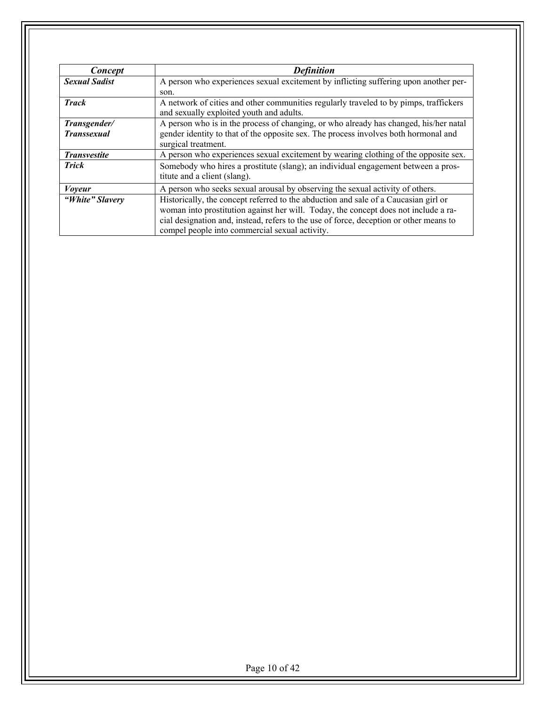| Concept              | <b>Definition</b>                                                                                                                                                                                                                                                                                                      |
|----------------------|------------------------------------------------------------------------------------------------------------------------------------------------------------------------------------------------------------------------------------------------------------------------------------------------------------------------|
| <b>Sexual Sadist</b> | A person who experiences sexual excitement by inflicting suffering upon another per-                                                                                                                                                                                                                                   |
|                      | son.                                                                                                                                                                                                                                                                                                                   |
| <b>Track</b>         | A network of cities and other communities regularly traveled to by pimps, traffickers<br>and sexually exploited youth and adults.                                                                                                                                                                                      |
| Transgender/         | A person who is in the process of changing, or who already has changed, his/her natal                                                                                                                                                                                                                                  |
| <b>Transsexual</b>   | gender identity to that of the opposite sex. The process involves both hormonal and<br>surgical treatment.                                                                                                                                                                                                             |
| <b>Transvestite</b>  | A person who experiences sexual excitement by wearing clothing of the opposite sex.                                                                                                                                                                                                                                    |
| <b>Trick</b>         | Somebody who hires a prostitute (slang); an individual engagement between a pros-<br>titute and a client (slang).                                                                                                                                                                                                      |
| <i>Voyeur</i>        | A person who seeks sexual arousal by observing the sexual activity of others.                                                                                                                                                                                                                                          |
| "White" Slavery      | Historically, the concept referred to the abduction and sale of a Caucasian girl or<br>woman into prostitution against her will. Today, the concept does not include a ra-<br>cial designation and, instead, refers to the use of force, deception or other means to<br>compel people into commercial sexual activity. |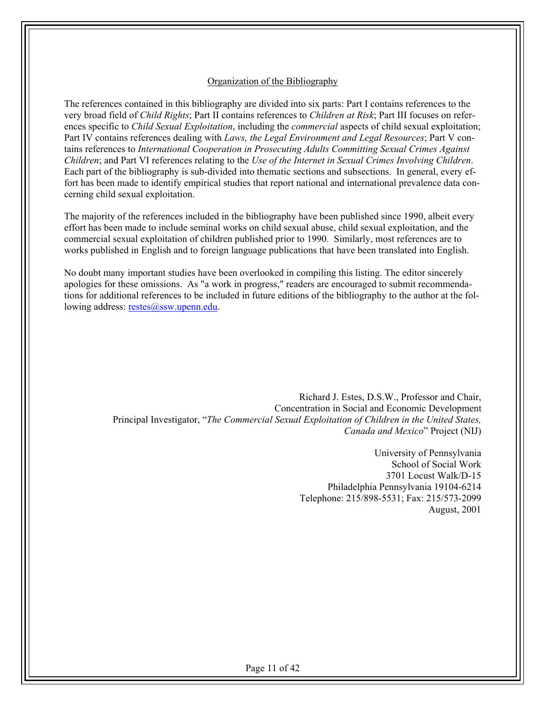#### Organization of the Bibliography

The references contained in this bibliography are divided into six parts: Part I contains references to the very broad field of *Child Rights*; Part II contains references to *Children at Risk*; Part III focuses on references specific to *Child Sexual Exploitation*, including the *commercial* aspects of child sexual exploitation; Part IV contains references dealing with *Laws, the Legal Environment and Legal Resources*; Part V contains references to *International Cooperation in Prosecuting Adults Committing Sexual Crimes Against Children*; and Part VI references relating to the *Use of the Internet in Sexual Crimes Involving Children*. Each part of the bibliography is sub-divided into thematic sections and subsections. In general, every effort has been made to identify empirical studies that report national and international prevalence data concerning child sexual exploitation.

The majority of the references included in the bibliography have been published since 1990, albeit every effort has been made to include seminal works on child sexual abuse, child sexual exploitation, and the commercial sexual exploitation of children published prior to 1990. Similarly, most references are to works published in English and to foreign language publications that have been translated into English.

No doubt many important studies have been overlooked in compiling this listing. The editor sincerely apologies for these omissions. As "a work in progress," readers are encouraged to submit recommendations for additional references to be included in future editions of the bibliography to the author at the following address: restes@ssw.upenn.edu.

> Richard J. Estes, D.S.W., Professor and Chair, Concentration in Social and Economic Development Principal Investigator, "*The Commercial Sexual Exploitation of Children in the United States, Canada and Mexico*" Project (NIJ)

> > University of Pennsylvania School of Social Work 3701 Locust Walk/D-15 Philadelphia Pennsylvania 19104-6214 Telephone: 215/898-5531; Fax: 215/573-2099 August, 2001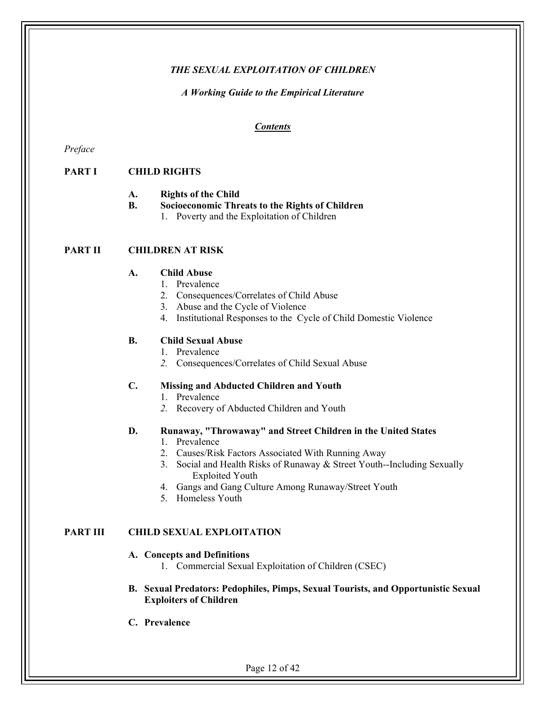#### *THE SEXUAL EXPLOITATION OF CHILDREN*

#### *A Working Guide to the Empirical Literature*

#### *Contents*

*Preface* 

## **PART I CHILD RIGHTS**

- **A. Rights of the Child**
- **B. Socioeconomic Threats to the Rights of Children** 
	- 1. Poverty and the Exploitation of Children

#### **PART II CHILDREN AT RISK**

#### **A. Child Abuse**

- 1. Prevalence
- 2. Consequences/Correlates of Child Abuse
- 3. Abuse and the Cycle of Violence
- 4. Institutional Responses to the Cycle of Child Domestic Violence

#### **B. Child Sexual Abuse**

- 1. Prevalence
- *2.* Consequences/Correlates of Child Sexual Abuse

#### **C. Missing and Abducted Children and Youth**

- 1. Prevalence
- *2.* Recovery of Abducted Children and Youth

#### **D. Runaway, "Throwaway" and Street Children in the United States**

- 1. Prevalence
- 2. Causes/Risk Factors Associated With Running Away
- 3. Social and Health Risks of Runaway & Street Youth--Including Sexually Exploited Youth
- 4. Gangs and Gang Culture Among Runaway/Street Youth
- 5. Homeless Youth

#### **PART III CHILD SEXUAL EXPLOITATION**

#### **A. Concepts and Definitions**

- 1. Commercial Sexual Exploitation of Children (CSEC)
- **B. Sexual Predators: Pedophiles, Pimps, Sexual Tourists, and Opportunistic Sexual Exploiters of Children**
- **C. Prevalence**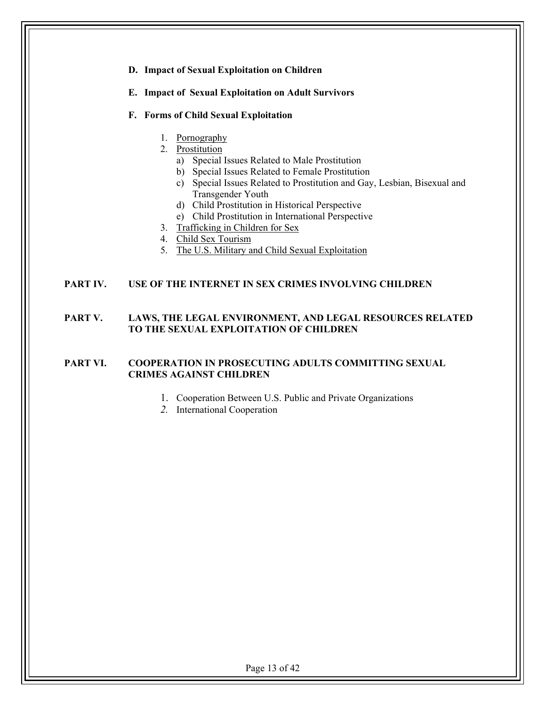## **D. Impact of Sexual Exploitation on Children E. Impact of Sexual Exploitation on Adult Survivors F. Forms of Child Sexual Exploitation**  1. Pornography 2. Prostitution a) Special Issues Related to Male Prostitution b) Special Issues Related to Female Prostitution c) Special Issues Related to Prostitution and Gay, Lesbian, Bisexual and Transgender Youth d) Child Prostitution in Historical Perspective e) Child Prostitution in International Perspective 3. Trafficking in Children for Sex 4. Child Sex Tourism 5. The U.S. Military and Child Sexual Exploitation

#### **PART IV. USE OF THE INTERNET IN SEX CRIMES INVOLVING CHILDREN**

#### **PART V. LAWS, THE LEGAL ENVIRONMENT, AND LEGAL RESOURCES RELATED TO THE SEXUAL EXPLOITATION OF CHILDREN**

#### **PART VI. COOPERATION IN PROSECUTING ADULTS COMMITTING SEXUAL CRIMES AGAINST CHILDREN**

- 1. Cooperation Between U.S. Public and Private Organizations
- *2.* International Cooperation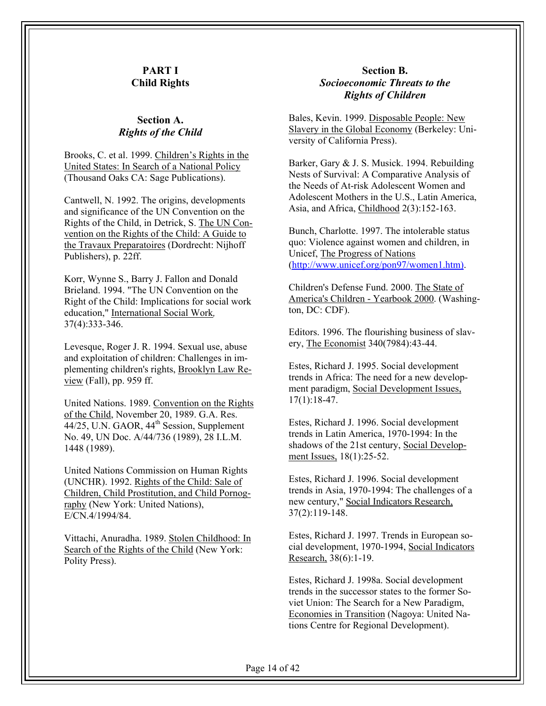#### **PART I Child Rights**

#### **Section A.**  *Rights of the Child*

Brooks, C. et al. 1999. Children's Rights in the United States: In Search of a National Policy (Thousand Oaks CA: Sage Publications).

Cantwell, N. 1992. The origins, developments and significance of the UN Convention on the Rights of the Child, in Detrick, S. The UN Convention on the Rights of the Child: A Guide to the Travaux Preparatoires (Dordrecht: Nijhoff Publishers), p. 22ff.

Korr, Wynne S., Barry J. Fallon and Donald Brieland. 1994. "The UN Convention on the Right of the Child: Implications for social work education," International Social Work*,* 37(4):333-346.

Levesque, Roger J. R. 1994. Sexual use, abuse and exploitation of children: Challenges in implementing children's rights, Brooklyn Law Review (Fall), pp. 959 ff.

United Nations. 1989. Convention on the Rights of the Child, November 20, 1989. G.A. Res. 44/25, U.N. GAOR, 44<sup>th</sup> Session, Supplement No. 49, UN Doc. A/44/736 (1989), 28 I.L.M. 1448 (1989).

United Nations Commission on Human Rights (UNCHR). 1992. Rights of the Child: Sale of Children, Child Prostitution, and Child Pornography (New York: United Nations), E/CN.4/1994/84.

Vittachi, Anuradha. 1989. Stolen Childhood: In Search of the Rights of the Child (New York: Polity Press).

#### **Section B.**  *Socioeconomic Threats to the Rights of Children*

Bales, Kevin. 1999. Disposable People: New Slavery in the Global Economy (Berkeley: University of California Press).

Barker, Gary & J. S. Musick. 1994. Rebuilding Nests of Survival: A Comparative Analysis of the Needs of At-risk Adolescent Women and Adolescent Mothers in the U.S., Latin America, Asia, and Africa, Childhood 2(3):152-163.

Bunch, Charlotte. 1997. The intolerable status quo: Violence against women and children, in Unicef, The Progress of Nations (http://www.unicef.org/pon97/women1.htm).

Children's Defense Fund. 2000. The State of America's Children - Yearbook 2000. (Washington, DC: CDF).

Editors. 1996. The flourishing business of slavery, The Economist 340(7984):43-44.

Estes, Richard J. 1995. Social development trends in Africa: The need for a new development paradigm, Social Development Issues, 17(1):18-47.

Estes, Richard J. 1996. Social development trends in Latin America, 1970-1994: In the shadows of the 21st century, Social Development Issues, 18(1):25-52.

Estes, Richard J. 1996. Social development trends in Asia, 1970-1994: The challenges of a new century," Social Indicators Research, 37(2):119-148.

Estes, Richard J. 1997. Trends in European social development, 1970-1994, Social Indicators Research, 38(6):1-19.

Estes, Richard J. 1998a. Social development trends in the successor states to the former Soviet Union: The Search for a New Paradigm, Economies in Transition (Nagoya: United Nations Centre for Regional Development).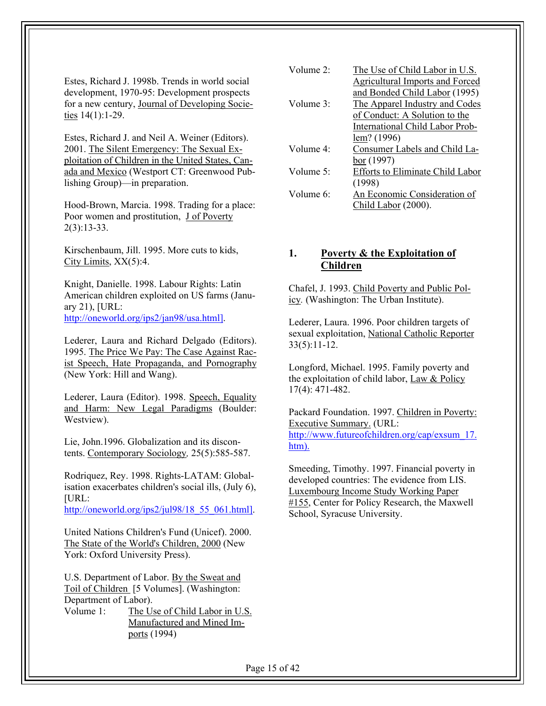Estes, Richard J. 1998b. Trends in world social development, 1970-95: Development prospects for a new century, Journal of Developing Societies 14(1):1-29.

Estes, Richard J. and Neil A. Weiner (Editors). 2001. The Silent Emergency: The Sexual Exploitation of Children in the United States, Canada and Mexico (Westport CT: Greenwood Publishing Group)—in preparation.

Hood-Brown, Marcia. 1998. Trading for a place: Poor women and prostitution, J of Poverty 2(3):13-33.

Kirschenbaum, Jill. 1995. More cuts to kids, City Limits,  $XX(5):4$ .

Knight, Danielle. 1998. Labour Rights: Latin American children exploited on US farms (January 21), [URL: http://oneworld.org/ips2/jan98/usa.html].

Lederer, Laura and Richard Delgado (Editors). 1995. The Price We Pay: The Case Against Racist Speech, Hate Propaganda, and Pornography (New York: Hill and Wang).

Lederer, Laura (Editor). 1998. Speech, Equality and Harm: New Legal Paradigms (Boulder: Westview).

Lie, John.1996. Globalization and its discontents. Contemporary Sociology*,* 25(5):585-587.

Rodriquez, Rey. 1998. Rights-LATAM: Globalisation exacerbates children's social ills, (July 6),  $[URL:$ 

http://oneworld.org/ips2/jul98/18\_55\_061.html].

United Nations Children's Fund (Unicef). 2000. The State of the World's Children, 2000 (New York: Oxford University Press).

U.S. Department of Labor. By the Sweat and Toil of Children [5 Volumes]. (Washington: Department of Labor).

Volume 1: The Use of Child Labor in U.S. Manufactured and Mined Imports (1994)

| Volume $2^{\cdot}$ | The Use of Child Labor in U.S.          |
|--------------------|-----------------------------------------|
|                    | <b>Agricultural Imports and Forced</b>  |
|                    | and Bonded Child Labor (1995)           |
| Volume $3^{\circ}$ | The Apparel Industry and Codes          |
|                    | of Conduct: A Solution to the           |
|                    | <b>International Child Labor Prob-</b>  |
|                    | lem? (1996)                             |
| Volume $4^{\circ}$ | Consumer Labels and Child La-           |
|                    | bor (1997)                              |
| Volume $5^{\circ}$ | <b>Efforts to Eliminate Child Labor</b> |
|                    | (1998)                                  |
| Volume 6:          | An Economic Consideration of            |
|                    | Child Labor (2000).                     |

## **1. Poverty & the Exploitation of Children**

Chafel, J. 1993. Child Poverty and Public Policy*.* (Washington: The Urban Institute).

Lederer, Laura. 1996. Poor children targets of sexual exploitation, National Catholic Reporter  $33(5):11-12.$ 

Longford, Michael. 1995. Family poverty and the exploitation of child labor, Law & Policy 17(4): 471-482.

Packard Foundation. 1997. Children in Poverty: Executive Summary. (URL: http://www.futureofchildren.org/cap/exsum\_17. htm).

Smeeding, Timothy. 1997. Financial poverty in developed countries: The evidence from LIS. Luxembourg Income Study Working Paper #155, Center for Policy Research, the Maxwell School, Syracuse University.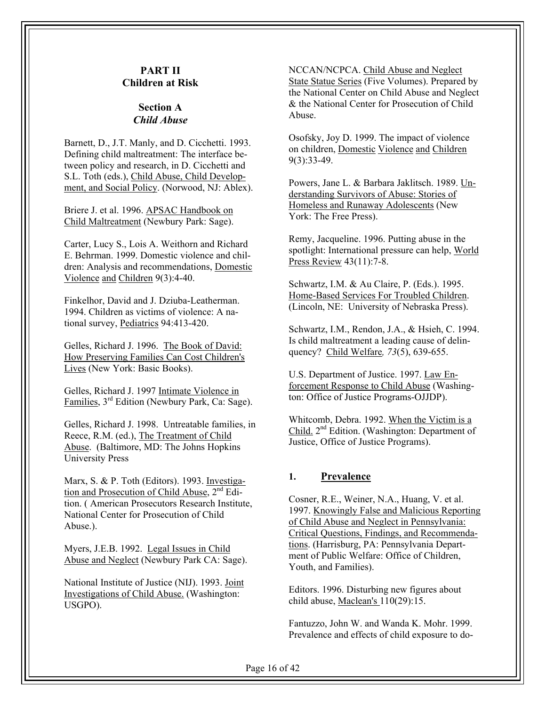## **PART II Children at Risk**

#### **Section A**  *Child Abuse*

Barnett, D., J.T. Manly, and D. Cicchetti. 1993. Defining child maltreatment: The interface between policy and research, in D. Cicchetti and S.L. Toth (eds.), Child Abuse, Child Development, and Social Policy. (Norwood, NJ: Ablex).

Briere J. et al. 1996. APSAC Handbook on Child Maltreatment (Newbury Park: Sage).

Carter, Lucy S., Lois A. Weithorn and Richard E. Behrman. 1999. Domestic violence and children: Analysis and recommendations, Domestic Violence and Children 9(3):4-40.

Finkelhor, David and J. Dziuba-Leatherman. 1994. Children as victims of violence: A national survey, Pediatrics 94:413-420.

Gelles, Richard J. 1996. The Book of David: How Preserving Families Can Cost Children's Lives (New York: Basic Books).

Gelles, Richard J. 1997 Intimate Violence in Families, 3rd Edition (Newbury Park, Ca: Sage).

Gelles, Richard J. 1998. Untreatable families, in Reece, R.M. (ed.), The Treatment of Child Abuse. (Baltimore, MD: The Johns Hopkins University Press

Marx, S. & P. Toth (Editors). 1993. Investigation and Prosecution of Child Abuse, 2<sup>nd</sup> Edition. ( American Prosecutors Research Institute, National Center for Prosecution of Child Abuse.).

Myers, J.E.B. 1992. Legal Issues in Child Abuse and Neglect (Newbury Park CA: Sage).

National Institute of Justice (NIJ). 1993. Joint Investigations of Child Abuse. (Washington: USGPO).

NCCAN/NCPCA. Child Abuse and Neglect State Statue Series (Five Volumes). Prepared by the National Center on Child Abuse and Neglect & the National Center for Prosecution of Child Abuse.

Osofsky, Joy D. 1999. The impact of violence on children, Domestic Violence and Children 9(3):33-49.

Powers, Jane L. & Barbara Jaklitsch. 1989. Understanding Survivors of Abuse: Stories of Homeless and Runaway Adolescents (New York: The Free Press).

Remy, Jacqueline. 1996. Putting abuse in the spotlight: International pressure can help, World Press Review 43(11):7-8.

Schwartz, I.M. & Au Claire, P. (Eds.). 1995. Home-Based Services For Troubled Children. (Lincoln, NE: University of Nebraska Press).

Schwartz, I.M., Rendon, J.A., & Hsieh, C. 1994. Is child maltreatment a leading cause of delinquency? Child Welfare*, 73*(5), 639-655.

U.S. Department of Justice. 1997. Law Enforcement Response to Child Abuse (Washington: Office of Justice Programs-OJJDP).

Whitcomb, Debra. 1992. When the Victim is a Child. 2nd Edition. (Washington: Department of Justice, Office of Justice Programs).

#### **1. Prevalence**

Cosner, R.E., Weiner, N.A., Huang, V. et al. 1997. Knowingly False and Malicious Reporting of Child Abuse and Neglect in Pennsylvania: Critical Questions, Findings, and Recommendations. (Harrisburg, PA: Pennsylvania Department of Public Welfare: Office of Children, Youth, and Families).

Editors. 1996. Disturbing new figures about child abuse, Maclean's 110(29):15.

Fantuzzo, John W. and Wanda K. Mohr. 1999. Prevalence and effects of child exposure to do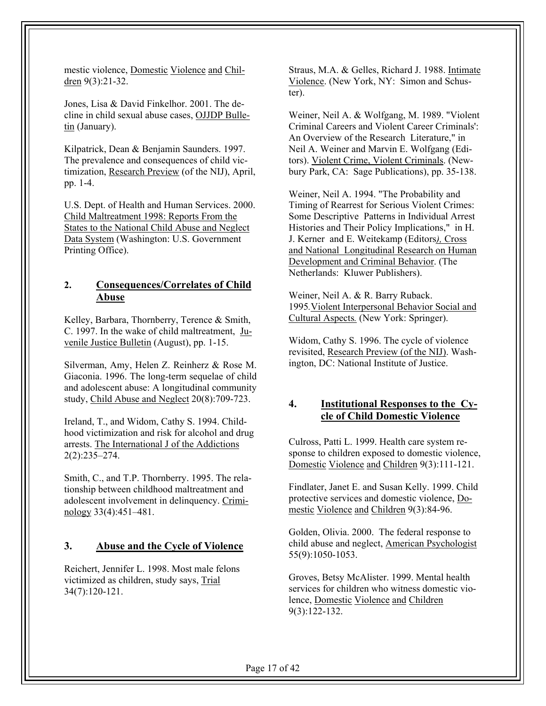mestic violence, Domestic Violence and Children 9(3):21-32.

Jones, Lisa & David Finkelhor. 2001. The decline in child sexual abuse cases, OJJDP Bulletin (January).

Kilpatrick, Dean & Benjamin Saunders. 1997. The prevalence and consequences of child victimization, Research Preview (of the NIJ), April, pp. 1-4.

U.S. Dept. of Health and Human Services. 2000. Child Maltreatment 1998: Reports From the States to the National Child Abuse and Neglect Data System (Washington: U.S. Government Printing Office).

## **2. Consequences/Correlates of Child Abuse**

Kelley, Barbara, Thornberry, Terence & Smith, C. 1997. In the wake of child maltreatment, Juvenile Justice Bulletin (August), pp. 1-15.

Silverman, Amy, Helen Z. Reinherz & Rose M. Giaconia. 1996. The long-term sequelae of child and adolescent abuse: A longitudinal community study, Child Abuse and Neglect 20(8):709-723.

Ireland, T., and Widom, Cathy S. 1994. Childhood victimization and risk for alcohol and drug arrests. The International J of the Addictions 2(2):235–274.

Smith, C., and T.P. Thornberry. 1995. The relationship between childhood maltreatment and adolescent involvement in delinquency. Criminology 33(4):451–481.

#### **3. Abuse and the Cycle of Violence**

Reichert, Jennifer L. 1998. Most male felons victimized as children, study says, Trial 34(7):120-121.

Straus, M.A. & Gelles, Richard J. 1988. Intimate Violence. (New York, NY: Simon and Schuster).

Weiner, Neil A. & Wolfgang, M. 1989. "Violent Criminal Careers and Violent Career Criminals': An Overview of the Research Literature," in Neil A. Weiner and Marvin E. Wolfgang (Editors). Violent Crime, Violent Criminals. (Newbury Park, CA: Sage Publications), pp. 35-138.

Weiner, Neil A. 1994. "The Probability and Timing of Rearrest for Serious Violent Crimes: Some Descriptive Patterns in Individual Arrest Histories and Their Policy Implications," in H. J. Kerner and E. Weitekamp (Editors*),* Cross and National Longitudinal Research on Human Development and Criminal Behavior. (The Netherlands: Kluwer Publishers).

Weiner, Neil A. & R. Barry Ruback. 1995*.*Violent Interpersonal Behavior Social and Cultural Aspects*.* (New York: Springer).

Widom, Cathy S. 1996. The cycle of violence revisited, Research Preview (of the NIJ). Washington, DC: National Institute of Justice.

## **4. Institutional Responses to the Cycle of Child Domestic Violence**

Culross, Patti L. 1999. Health care system response to children exposed to domestic violence, Domestic Violence and Children 9(3):111-121.

Findlater, Janet E. and Susan Kelly. 1999. Child protective services and domestic violence, Domestic Violence and Children 9(3):84-96.

Golden, Olivia. 2000. The federal response to child abuse and neglect, American Psychologist 55(9):1050-1053.

Groves, Betsy McAlister. 1999. Mental health services for children who witness domestic violence, Domestic Violence and Children 9(3):122-132.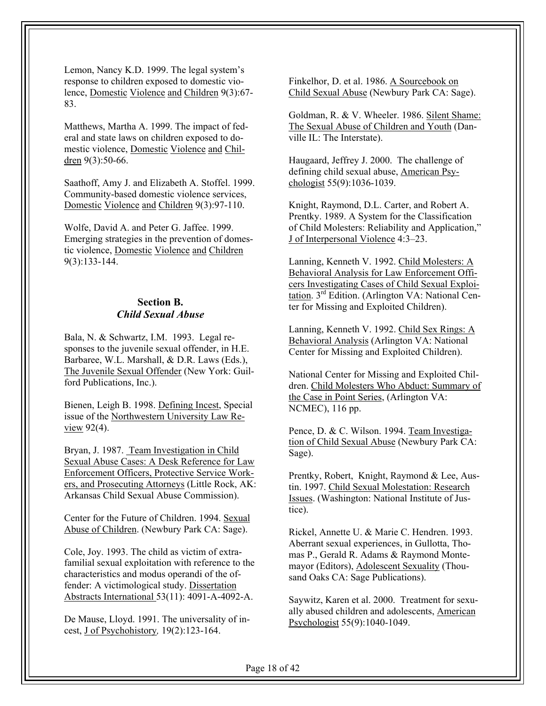Lemon, Nancy K.D. 1999. The legal system's response to children exposed to domestic violence, Domestic Violence and Children 9(3):67- 83.

Matthews, Martha A. 1999. The impact of federal and state laws on children exposed to domestic violence, Domestic Violence and Children 9(3):50-66.

Saathoff, Amy J. and Elizabeth A. Stoffel. 1999. Community-based domestic violence services, Domestic Violence and Children 9(3):97-110.

Wolfe, David A. and Peter G. Jaffee. 1999. Emerging strategies in the prevention of domestic violence, Domestic Violence and Children 9(3):133-144.

## **Section B.**  *Child Sexual Abuse*

Bala, N. & Schwartz, I.M. 1993. Legal responses to the juvenile sexual offender, in H.E. Barbaree, W.L. Marshall, & D.R. Laws (Eds.), The Juvenile Sexual Offender (New York: Guilford Publications, Inc.).

Bienen, Leigh B. 1998. Defining Incest, Special issue of the Northwestern University Law Review 92(4).

Bryan, J. 1987. Team Investigation in Child Sexual Abuse Cases: A Desk Reference for Law Enforcement Officers, Protective Service Workers, and Prosecuting Attorneys (Little Rock, AK: Arkansas Child Sexual Abuse Commission).

Center for the Future of Children. 1994. Sexual Abuse of Children. (Newbury Park CA: Sage).

Cole, Joy. 1993. The child as victim of extrafamilial sexual exploitation with reference to the characteristics and modus operandi of the offender: A victimological study. Dissertation Abstracts International 53(11): 4091-A-4092-A.

De Mause, Lloyd. 1991. The universality of incest, J of Psychohistory*,* 19(2):123-164.

Finkelhor, D. et al. 1986. A Sourcebook on Child Sexual Abuse (Newbury Park CA: Sage).

Goldman, R. & V. Wheeler. 1986. Silent Shame: The Sexual Abuse of Children and Youth (Danville IL: The Interstate).

Haugaard, Jeffrey J. 2000. The challenge of defining child sexual abuse, American Psychologist 55(9):1036-1039.

Knight, Raymond, D.L. Carter, and Robert A. Prentky. 1989. A System for the Classification of Child Molesters: Reliability and Application," J of Interpersonal Violence 4:3–23.

Lanning, Kenneth V. 1992. Child Molesters: A Behavioral Analysis for Law Enforcement Officers Investigating Cases of Child Sexual Exploitation. 3rd Edition. (Arlington VA: National Center for Missing and Exploited Children).

Lanning, Kenneth V. 1992. Child Sex Rings: A Behavioral Analysis (Arlington VA: National Center for Missing and Exploited Children).

National Center for Missing and Exploited Children. Child Molesters Who Abduct: Summary of the Case in Point Series, (Arlington VA: NCMEC), 116 pp.

Pence, D. & C. Wilson. 1994. Team Investigation of Child Sexual Abuse (Newbury Park CA: Sage).

Prentky, Robert, Knight, Raymond & Lee, Austin. 1997. Child Sexual Molestation: Research Issues. (Washington: National Institute of Justice).

Rickel, Annette U. & Marie C. Hendren. 1993. Aberrant sexual experiences, in Gullotta, Thomas P., Gerald R. Adams & Raymond Montemayor (Editors), Adolescent Sexuality (Thousand Oaks CA: Sage Publications).

Saywitz, Karen et al. 2000. Treatment for sexually abused children and adolescents, American Psychologist 55(9):1040-1049.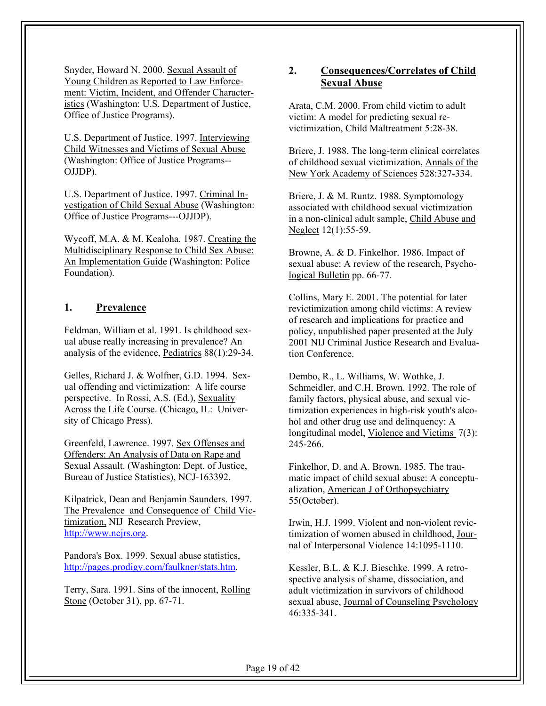Snyder, Howard N. 2000. Sexual Assault of Young Children as Reported to Law Enforcement: Victim, Incident, and Offender Characteristics (Washington: U.S. Department of Justice, Office of Justice Programs).

U.S. Department of Justice. 1997. Interviewing Child Witnesses and Victims of Sexual Abuse (Washington: Office of Justice Programs-- OJJDP).

U.S. Department of Justice. 1997. Criminal Investigation of Child Sexual Abuse (Washington: Office of Justice Programs---OJJDP).

Wycoff, M.A. & M. Kealoha. 1987. Creating the Multidisciplinary Response to Child Sex Abuse: An Implementation Guide (Washington: Police Foundation).

#### **1. Prevalence**

Feldman, William et al. 1991. Is childhood sexual abuse really increasing in prevalence? An analysis of the evidence, Pediatrics 88(1):29-34.

Gelles, Richard J. & Wolfner, G.D. 1994. Sexual offending and victimization: A life course perspective. In Rossi, A.S. (Ed.), Sexuality Across the Life Course. (Chicago, IL: University of Chicago Press).

Greenfeld, Lawrence. 1997. Sex Offenses and Offenders: An Analysis of Data on Rape and Sexual Assault. (Washington: Dept. of Justice, Bureau of Justice Statistics), NCJ-163392.

Kilpatrick, Dean and Benjamin Saunders. 1997. The Prevalence and Consequence of Child Victimization, NIJ Research Preview, http://www.ncjrs.org.

Pandora's Box. 1999. Sexual abuse statistics, http://pages.prodigy.com/faulkner/stats.htm.

Terry, Sara. 1991. Sins of the innocent, Rolling Stone (October 31), pp. 67-71.

## **2. Consequences/Correlates of Child Sexual Abuse**

Arata, C.M. 2000. From child victim to adult victim: A model for predicting sexual revictimization, Child Maltreatment 5:28-38.

Briere, J. 1988. The long-term clinical correlates of childhood sexual victimization, Annals of the New York Academy of Sciences 528:327-334.

Briere, J. & M. Runtz. 1988. Symptomology associated with childhood sexual victimization in a non-clinical adult sample, Child Abuse and Neglect 12(1):55-59.

Browne, A. & D. Finkelhor. 1986. Impact of sexual abuse: A review of the research, Psychological Bulletin pp. 66-77.

Collins, Mary E. 2001. The potential for later revictimization among child victims: A review of research and implications for practice and policy, unpublished paper presented at the July 2001 NIJ Criminal Justice Research and Evaluation Conference.

Dembo, R., L. Williams, W. Wothke, J. Schmeidler, and C.H. Brown. 1992. The role of family factors, physical abuse, and sexual victimization experiences in high-risk youth's alcohol and other drug use and delinquency: A longitudinal model, Violence and Victims 7(3): 245-266.

Finkelhor, D. and A. Brown. 1985. The traumatic impact of child sexual abuse: A conceptualization, American J of Orthopsychiatry 55(October).

Irwin, H.J. 1999. Violent and non-violent revictimization of women abused in childhood, Journal of Interpersonal Violence 14:1095-1110.

Kessler, B.L. & K.J. Bieschke. 1999. A retrospective analysis of shame, dissociation, and adult victimization in survivors of childhood sexual abuse, Journal of Counseling Psychology 46:335-341.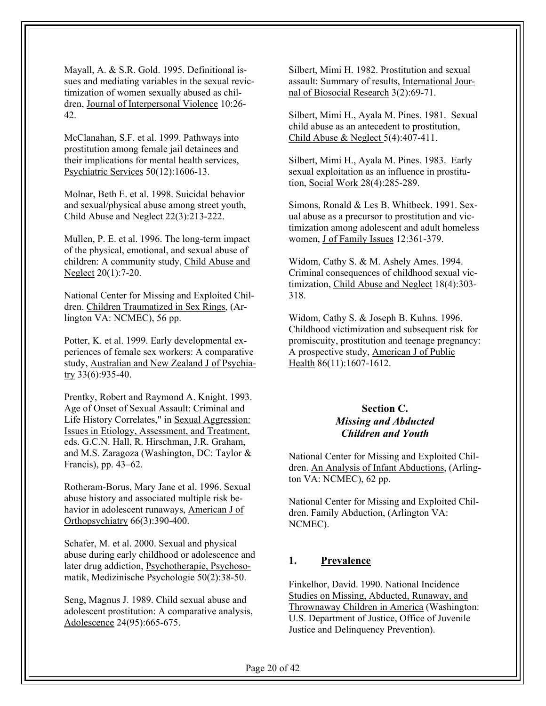Mayall, A. & S.R. Gold. 1995. Definitional issues and mediating variables in the sexual revictimization of women sexually abused as children, Journal of Interpersonal Violence 10:26- 42.

McClanahan, S.F. et al. 1999. Pathways into prostitution among female jail detainees and their implications for mental health services, Psychiatric Services 50(12):1606-13.

Molnar, Beth E. et al. 1998. Suicidal behavior and sexual/physical abuse among street youth, Child Abuse and Neglect 22(3):213-222.

Mullen, P. E. et al. 1996. The long-term impact of the physical, emotional, and sexual abuse of children: A community study, Child Abuse and Neglect 20(1):7-20.

National Center for Missing and Exploited Children. Children Traumatized in Sex Rings, (Arlington VA: NCMEC), 56 pp.

Potter, K. et al. 1999. Early developmental experiences of female sex workers: A comparative study, Australian and New Zealand J of Psychiatry 33(6):935-40.

Prentky, Robert and Raymond A. Knight. 1993. Age of Onset of Sexual Assault: Criminal and Life History Correlates," in Sexual Aggression: Issues in Etiology, Assessment, and Treatment, eds. G.C.N. Hall, R. Hirschman, J.R. Graham, and M.S. Zaragoza (Washington, DC: Taylor & Francis), pp. 43–62.

Rotheram-Borus, Mary Jane et al. 1996. Sexual abuse history and associated multiple risk behavior in adolescent runaways, American J of Orthopsychiatry 66(3):390-400.

Schafer, M. et al. 2000. Sexual and physical abuse during early childhood or adolescence and later drug addiction, Psychotherapie, Psychosomatik, Medizinische Psychologie 50(2):38-50.

Seng, Magnus J. 1989. Child sexual abuse and adolescent prostitution: A comparative analysis, Adolescence 24(95):665-675.

Silbert, Mimi H. 1982. Prostitution and sexual assault: Summary of results, International Journal of Biosocial Research 3(2):69-71.

Silbert, Mimi H., Ayala M. Pines. 1981. Sexual child abuse as an antecedent to prostitution, Child Abuse & Neglect 5(4):407-411.

Silbert, Mimi H., Ayala M. Pines. 1983. Early sexual exploitation as an influence in prostitution, Social Work 28(4):285-289.

Simons, Ronald & Les B. Whitbeck. 1991. Sexual abuse as a precursor to prostitution and victimization among adolescent and adult homeless women, J of Family Issues 12:361-379.

Widom, Cathy S. & M. Ashely Ames. 1994. Criminal consequences of childhood sexual victimization, Child Abuse and Neglect 18(4):303- 318.

Widom, Cathy S. & Joseph B. Kuhns. 1996. Childhood victimization and subsequent risk for promiscuity, prostitution and teenage pregnancy: A prospective study, American J of Public Health 86(11):1607-1612.

#### **Section C.**  *Missing and Abducted Children and Youth*

National Center for Missing and Exploited Children. An Analysis of Infant Abductions, (Arlington VA: NCMEC), 62 pp.

National Center for Missing and Exploited Children. Family Abduction, (Arlington VA: NCMEC).

## **1. Prevalence**

Finkelhor, David. 1990. National Incidence Studies on Missing, Abducted, Runaway, and Thrownaway Children in America (Washington: U.S. Department of Justice, Office of Juvenile Justice and Delinquency Prevention).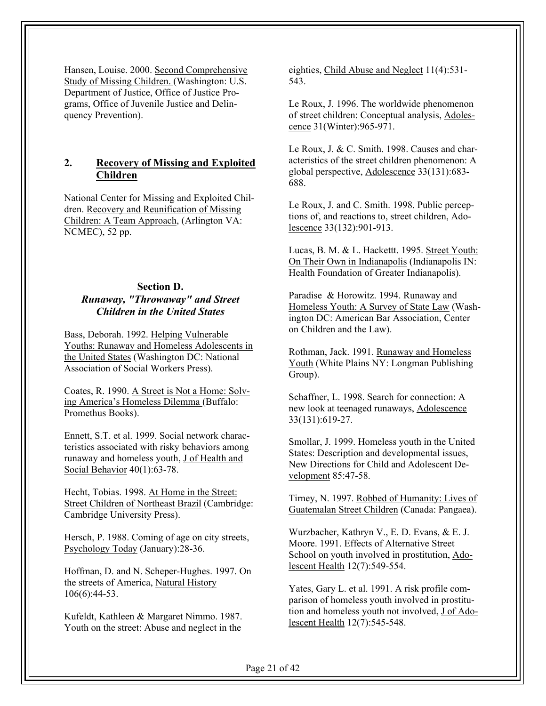Hansen, Louise. 2000. Second Comprehensive Study of Missing Children. (Washington: U.S. Department of Justice, Office of Justice Programs, Office of Juvenile Justice and Delinquency Prevention).

## **2. Recovery of Missing and Exploited Children**

National Center for Missing and Exploited Children. Recovery and Reunification of Missing Children: A Team Approach, (Arlington VA: NCMEC), 52 pp.

## **Section D.**  *Runaway, "Throwaway" and Street Children in the United States*

Bass, Deborah. 1992. Helping Vulnerable Youths: Runaway and Homeless Adolescents in the United States (Washington DC: National Association of Social Workers Press).

Coates, R. 1990. A Street is Not a Home: Solving America's Homeless Dilemma (Buffalo: Promethus Books).

Ennett, S.T. et al. 1999. Social network characteristics associated with risky behaviors among runaway and homeless youth, J of Health and Social Behavior 40(1):63-78.

Hecht, Tobias. 1998. At Home in the Street: Street Children of Northeast Brazil (Cambridge: Cambridge University Press).

Hersch, P. 1988. Coming of age on city streets, Psychology Today (January):28-36.

Hoffman, D. and N. Scheper-Hughes. 1997. On the streets of America, Natural History 106(6):44-53.

Kufeldt, Kathleen & Margaret Nimmo. 1987. Youth on the street: Abuse and neglect in the eighties, Child Abuse and Neglect 11(4):531- 543.

Le Roux, J. 1996. The worldwide phenomenon of street children: Conceptual analysis, Adolescence 31(Winter):965-971.

Le Roux, J. & C. Smith. 1998. Causes and characteristics of the street children phenomenon: A global perspective, Adolescence 33(131):683- 688.

Le Roux, J. and C. Smith. 1998. Public perceptions of, and reactions to, street children, Adolescence 33(132):901-913.

Lucas, B. M. & L. Hackettt. 1995. Street Youth: On Their Own in Indianapolis (Indianapolis IN: Health Foundation of Greater Indianapolis).

Paradise & Horowitz. 1994. Runaway and Homeless Youth: A Survey of State Law (Washington DC: American Bar Association, Center on Children and the Law).

Rothman, Jack. 1991. Runaway and Homeless Youth (White Plains NY: Longman Publishing) Group).

Schaffner, L. 1998. Search for connection: A new look at teenaged runaways, Adolescence 33(131):619-27.

Smollar, J. 1999. Homeless youth in the United States: Description and developmental issues, New Directions for Child and Adolescent Development 85:47-58.

Tirney, N. 1997. Robbed of Humanity: Lives of Guatemalan Street Children (Canada: Pangaea).

Wurzbacher, Kathryn V., E. D. Evans, & E. J. Moore. 1991. Effects of Alternative Street School on youth involved in prostitution, Adolescent Health 12(7):549-554.

Yates, Gary L. et al. 1991. A risk profile comparison of homeless youth involved in prostitution and homeless youth not involved, J of Adolescent Health 12(7):545-548.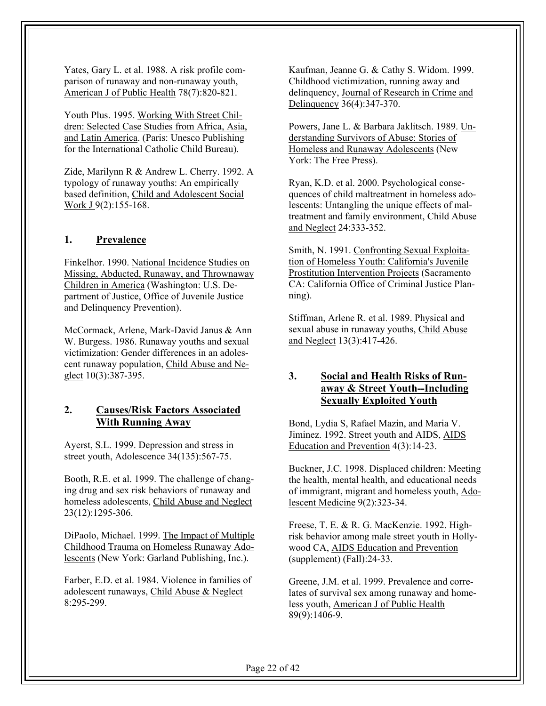Yates, Gary L. et al. 1988. A risk profile comparison of runaway and non-runaway youth, American J of Public Health 78(7):820-821.

Youth Plus. 1995. Working With Street Children: Selected Case Studies from Africa, Asia, and Latin America. (Paris: Unesco Publishing for the International Catholic Child Bureau).

Zide, Marilynn R & Andrew L. Cherry. 1992. A typology of runaway youths: An empirically based definition, Child and Adolescent Social Work J 9(2):155-168.

## **1. Prevalence**

Finkelhor. 1990. National Incidence Studies on Missing, Abducted, Runaway, and Thrownaway Children in America (Washington: U.S. Department of Justice, Office of Juvenile Justice and Delinquency Prevention).

McCormack, Arlene, Mark-David Janus & Ann W. Burgess. 1986. Runaway youths and sexual victimization: Gender differences in an adolescent runaway population, Child Abuse and Neglect 10(3):387-395.

## **2. Causes/Risk Factors Associated With Running Away**

Ayerst, S.L. 1999. Depression and stress in street youth, Adolescence 34(135):567-75.

Booth, R.E. et al. 1999. The challenge of changing drug and sex risk behaviors of runaway and homeless adolescents, Child Abuse and Neglect 23(12):1295-306.

DiPaolo, Michael. 1999. The Impact of Multiple Childhood Trauma on Homeless Runaway Adolescents (New York: Garland Publishing, Inc.).

Farber, E.D. et al. 1984. Violence in families of adolescent runaways, Child Abuse & Neglect 8:295-299.

Kaufman, Jeanne G. & Cathy S. Widom. 1999. Childhood victimization, running away and delinquency, Journal of Research in Crime and Delinquency 36(4):347-370.

Powers, Jane L. & Barbara Jaklitsch. 1989. Understanding Survivors of Abuse: Stories of Homeless and Runaway Adolescents (New York: The Free Press).

Ryan, K.D. et al. 2000. Psychological consequences of child maltreatment in homeless adolescents: Untangling the unique effects of maltreatment and family environment, Child Abuse and Neglect 24:333-352.

Smith, N. 1991. Confronting Sexual Exploitation of Homeless Youth: California's Juvenile Prostitution Intervention Projects (Sacramento CA: California Office of Criminal Justice Planning).

Stiffman, Arlene R. et al. 1989. Physical and sexual abuse in runaway youths, Child Abuse and Neglect 13(3):417-426.

## **3. Social and Health Risks of Runaway & Street Youth--Including Sexually Exploited Youth**

Bond, Lydia S, Rafael Mazin, and Maria V. Jiminez. 1992. Street youth and AIDS, AIDS Education and Prevention 4(3):14-23.

Buckner, J.C. 1998. Displaced children: Meeting the health, mental health, and educational needs of immigrant, migrant and homeless youth, Adolescent Medicine 9(2):323-34.

Freese, T. E. & R. G. MacKenzie. 1992. Highrisk behavior among male street youth in Hollywood CA, AIDS Education and Prevention (supplement) (Fall):24-33.

Greene, J.M. et al. 1999. Prevalence and correlates of survival sex among runaway and homeless youth, American J of Public Health 89(9):1406-9.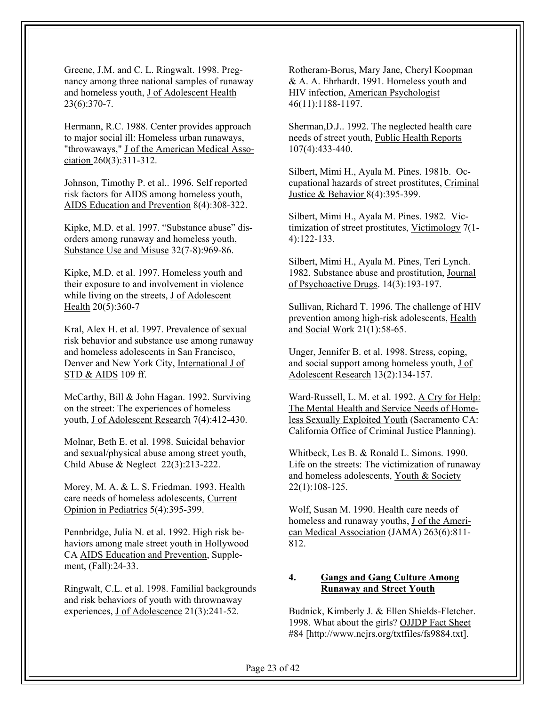Greene, J.M. and C. L. Ringwalt. 1998. Pregnancy among three national samples of runaway and homeless youth, J of Adolescent Health 23(6):370-7.

Hermann, R.C. 1988. Center provides approach to major social ill: Homeless urban runaways, "throwaways," J of the American Medical Association 260(3):311-312.

Johnson, Timothy P. et al.. 1996. Self reported risk factors for AIDS among homeless youth, AIDS Education and Prevention 8(4):308-322.

Kipke, M.D. et al. 1997. "Substance abuse" disorders among runaway and homeless youth, Substance Use and Misuse 32(7-8):969-86.

Kipke, M.D. et al. 1997. Homeless youth and their exposure to and involvement in violence while living on the streets, J of Adolescent Health 20(5):360-7

Kral, Alex H. et al. 1997. Prevalence of sexual risk behavior and substance use among runaway and homeless adolescents in San Francisco, Denver and New York City, International J of STD & AIDS 109 ff.

McCarthy, Bill & John Hagan. 1992. Surviving on the street: The experiences of homeless youth, J of Adolescent Research 7(4):412-430.

Molnar, Beth E. et al. 1998. Suicidal behavior and sexual/physical abuse among street youth, Child Abuse & Neglect 22(3):213-222.

Morey, M. A. & L. S. Friedman. 1993. Health care needs of homeless adolescents, Current Opinion in Pediatrics 5(4):395-399.

Pennbridge, Julia N. et al. 1992. High risk behaviors among male street youth in Hollywood CA AIDS Education and Prevention, Supplement, (Fall):24-33.

Ringwalt, C.L. et al. 1998. Familial backgrounds and risk behaviors of youth with thrownaway experiences, J of Adolescence 21(3):241-52.

Rotheram-Borus, Mary Jane, Cheryl Koopman & A. A. Ehrhardt. 1991. Homeless youth and HIV infection, American Psychologist 46(11):1188-1197.

Sherman,D.J.. 1992. The neglected health care needs of street youth, Public Health Reports 107(4):433-440.

Silbert, Mimi H., Ayala M. Pines. 1981b. Occupational hazards of street prostitutes, Criminal Justice & Behavior 8(4):395-399.

Silbert, Mimi H., Ayala M. Pines. 1982. Victimization of street prostitutes, Victimology 7(1- 4):122-133.

Silbert, Mimi H., Ayala M. Pines, Teri Lynch. 1982. Substance abuse and prostitution, Journal of Psychoactive Drugs. 14(3):193-197.

Sullivan, Richard T. 1996. The challenge of HIV prevention among high-risk adolescents, Health and Social Work 21(1):58-65.

Unger, Jennifer B. et al. 1998. Stress, coping, and social support among homeless youth, J of Adolescent Research 13(2):134-157.

Ward-Russell, L. M. et al. 1992. A Cry for Help: The Mental Health and Service Needs of Homeless Sexually Exploited Youth (Sacramento CA: California Office of Criminal Justice Planning).

Whitbeck, Les B. & Ronald L. Simons. 1990. Life on the streets: The victimization of runaway and homeless adolescents, Youth & Society 22(1):108-125.

Wolf, Susan M. 1990. Health care needs of homeless and runaway youths, J of the American Medical Association (JAMA) 263(6):811- 812.

#### **4. Gangs and Gang Culture Among Runaway and Street Youth**

Budnick, Kimberly J. & Ellen Shields-Fletcher. 1998. What about the girls? OJJDP Fact Sheet #84 [http://www.ncjrs.org/txtfiles/fs9884.txt].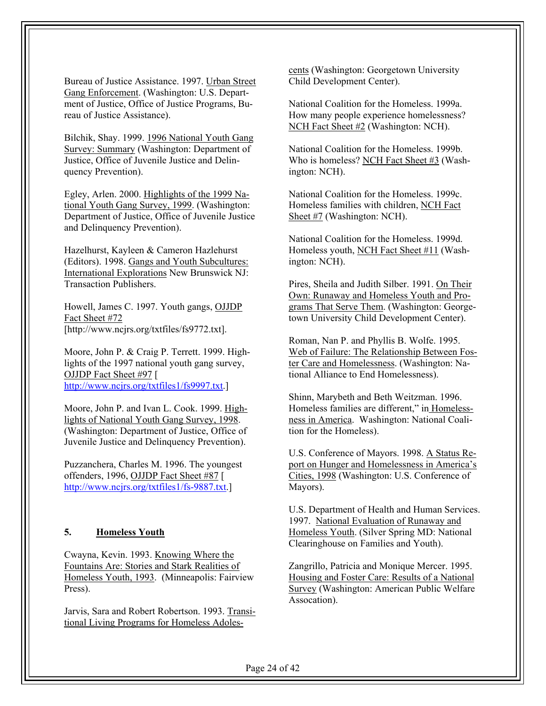Bureau of Justice Assistance. 1997. Urban Street Gang Enforcement. (Washington: U.S. Department of Justice, Office of Justice Programs, Bureau of Justice Assistance).

Bilchik, Shay. 1999. 1996 National Youth Gang Survey: Summary (Washington: Department of Justice, Office of Juvenile Justice and Delinquency Prevention).

Egley, Arlen. 2000. Highlights of the 1999 National Youth Gang Survey, 1999. (Washington: Department of Justice, Office of Juvenile Justice and Delinquency Prevention).

Hazelhurst, Kayleen & Cameron Hazlehurst (Editors). 1998. Gangs and Youth Subcultures: International Explorations New Brunswick NJ: Transaction Publishers.

Howell, James C. 1997. Youth gangs, OJJDP Fact Sheet #72 [http://www.ncjrs.org/txtfiles/fs9772.txt].

Moore, John P. & Craig P. Terrett. 1999. Highlights of the 1997 national youth gang survey, OJJDP Fact Sheet #97 [ http://www.ncjrs.org/txtfiles1/fs9997.txt.]

Moore, John P. and Ivan L. Cook. 1999. Highlights of National Youth Gang Survey, 1998. (Washington: Department of Justice, Office of Juvenile Justice and Delinquency Prevention).

Puzzanchera, Charles M. 1996. The youngest offenders, 1996, OJJDP Fact Sheet #87 [ http://www.ncjrs.org/txtfiles1/fs-9887.txt.]

#### **5. Homeless Youth**

Cwayna, Kevin. 1993. Knowing Where the Fountains Are: Stories and Stark Realities of Homeless Youth, 1993. (Minneapolis: Fairview Press).

Jarvis, Sara and Robert Robertson. 1993. Transitional Living Programs for Homeless Adolescents (Washington: Georgetown University Child Development Center).

National Coalition for the Homeless. 1999a. How many people experience homelessness? NCH Fact Sheet #2 (Washington: NCH).

National Coalition for the Homeless. 1999b. Who is homeless? NCH Fact Sheet #3 (Washington: NCH).

National Coalition for the Homeless. 1999c. Homeless families with children, NCH Fact Sheet #7 (Washington: NCH).

National Coalition for the Homeless. 1999d. Homeless youth, NCH Fact Sheet #11 (Washington: NCH).

Pires, Sheila and Judith Silber. 1991. On Their Own: Runaway and Homeless Youth and Programs That Serve Them. (Washington: Georgetown University Child Development Center).

Roman, Nan P. and Phyllis B. Wolfe. 1995. Web of Failure: The Relationship Between Foster Care and Homelessness. (Washington: National Alliance to End Homelessness).

Shinn, Marybeth and Beth Weitzman. 1996. Homeless families are different," in Homelessness in America. Washington: National Coalition for the Homeless).

U.S. Conference of Mayors. 1998. A Status Report on Hunger and Homelessness in America's Cities, 1998 (Washington: U.S. Conference of Mayors).

U.S. Department of Health and Human Services. 1997. National Evaluation of Runaway and Homeless Youth. (Silver Spring MD: National Clearinghouse on Families and Youth).

Zangrillo, Patricia and Monique Mercer. 1995. Housing and Foster Care: Results of a National Survey (Washington: American Public Welfare Assocation).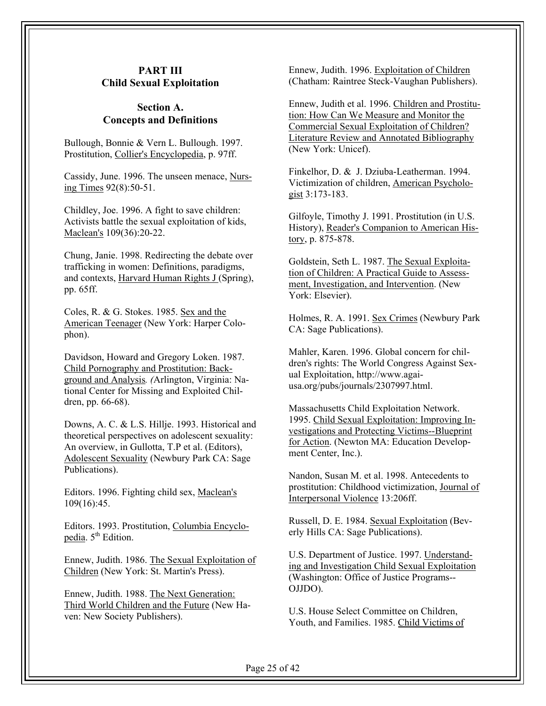## **PART III Child Sexual Exploitation**

#### **Section A. Concepts and Definitions**

Bullough, Bonnie & Vern L. Bullough. 1997. Prostitution, Collier's Encyclopedia, p. 97ff.

Cassidy, June. 1996. The unseen menace, Nursing Times 92(8):50-51.

Childley, Joe. 1996. A fight to save children: Activists battle the sexual exploitation of kids, Maclean's 109(36):20-22.

Chung, Janie. 1998. Redirecting the debate over trafficking in women: Definitions, paradigms, and contexts, Harvard Human Rights J (Spring), pp. 65ff.

Coles, R. & G. Stokes. 1985. Sex and the American Teenager (New York: Harper Colophon).

Davidson, Howard and Gregory Loken. 1987. Child Pornography and Prostitution: Background and Analysis*. (*Arlington, Virginia: National Center for Missing and Exploited Children, pp. 66-68).

Downs, A. C. & L.S. Hillje. 1993. Historical and theoretical perspectives on adolescent sexuality: An overview, in Gullotta, T.P et al. (Editors), Adolescent Sexuality (Newbury Park CA: Sage Publications).

Editors. 1996. Fighting child sex, Maclean's 109(16):45.

Editors. 1993. Prostitution, Columbia Encyclopedia.  $5<sup>th</sup>$  Edition.

Ennew, Judith. 1986. The Sexual Exploitation of Children (New York: St. Martin's Press).

Ennew, Judith. 1988. The Next Generation: Third World Children and the Future (New Haven: New Society Publishers).

Ennew, Judith. 1996. Exploitation of Children (Chatham: Raintree Steck-Vaughan Publishers).

Ennew, Judith et al. 1996. Children and Prostitution: How Can We Measure and Monitor the Commercial Sexual Exploitation of Children? Literature Review and Annotated Bibliography (New York: Unicef).

Finkelhor, D. & J. Dziuba-Leatherman. 1994. Victimization of children, American Psychologist 3:173-183.

Gilfoyle, Timothy J. 1991. Prostitution (in U.S. History), Reader's Companion to American History, p. 875-878.

Goldstein, Seth L. 1987. The Sexual Exploitation of Children: A Practical Guide to Assessment, Investigation, and Intervention. (New York: Elsevier).

Holmes, R. A. 1991. Sex Crimes (Newbury Park CA: Sage Publications).

Mahler, Karen. 1996. Global concern for children's rights: The World Congress Against Sexual Exploitation, http://www.agaiusa.org/pubs/journals/2307997.html.

Massachusetts Child Exploitation Network. 1995. Child Sexual Exploitation: Improving Investigations and Protecting Victims--Blueprint for Action. (Newton MA: Education Development Center, Inc.).

Nandon, Susan M. et al. 1998. Antecedents to prostitution: Childhood victimization, Journal of Interpersonal Violence 13:206ff.

Russell, D. E. 1984. Sexual Exploitation (Beverly Hills CA: Sage Publications).

U.S. Department of Justice. 1997. Understanding and Investigation Child Sexual Exploitation (Washington: Office of Justice Programs-- OJJDO).

U.S. House Select Committee on Children, Youth, and Families. 1985. Child Victims of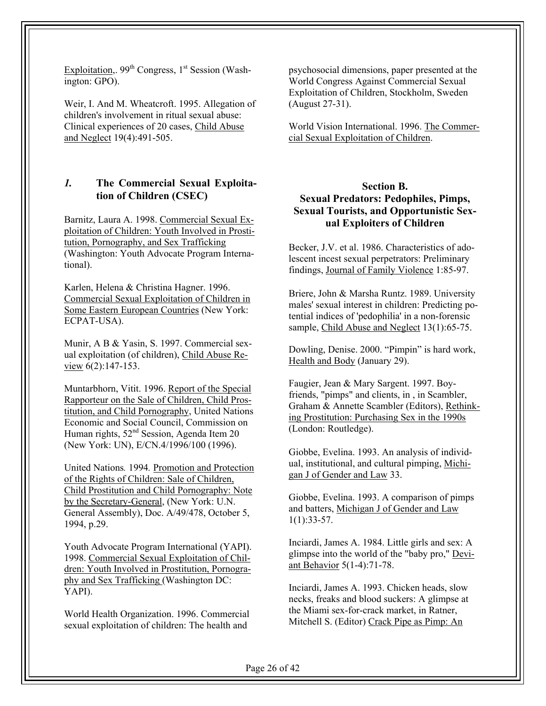Exploitation,.  $99<sup>th</sup> Congress, 1<sup>st</sup> Session (Wash$ ington: GPO).

Weir, I. And M. Wheatcroft. 1995. Allegation of children's involvement in ritual sexual abuse: Clinical experiences of 20 cases, Child Abuse and Neglect 19(4):491-505.

## *1.* **The Commercial Sexual Exploitation of Children (CSEC)**

Barnitz, Laura A. 1998. Commercial Sexual Exploitation of Children: Youth Involved in Prostitution, Pornography, and Sex Trafficking (Washington: Youth Advocate Program International).

Karlen, Helena & Christina Hagner. 1996. Commercial Sexual Exploitation of Children in Some Eastern European Countries (New York: ECPAT-USA).

Munir, A B & Yasin, S. 1997. Commercial sexual exploitation (of children), Child Abuse Review 6(2):147-153.

Muntarbhorn, Vitit. 1996. Report of the Special Rapporteur on the Sale of Children, Child Prostitution, and Child Pornography, United Nations Economic and Social Council, Commission on Human rights, 52nd Session, Agenda Item 20 (New York: UN), E/CN.4/1996/100 (1996).

United Nations*.* 1994*.* Promotion and Protection of the Rights of Children: Sale of Children, Child Prostitution and Child Pornography: Note by the Secretary-General, (New York: U.N. General Assembly), Doc. A/49/478, October 5, 1994, p.29.

Youth Advocate Program International (YAPI). 1998. Commercial Sexual Exploitation of Children: Youth Involved in Prostitution, Pornography and Sex Trafficking (Washington DC: YAPI).

World Health Organization. 1996. Commercial sexual exploitation of children: The health and

psychosocial dimensions, paper presented at the World Congress Against Commercial Sexual Exploitation of Children, Stockholm, Sweden (August 27-31).

World Vision International. 1996. The Commercial Sexual Exploitation of Children.

#### **Section B.**

## **Sexual Predators: Pedophiles, Pimps, Sexual Tourists, and Opportunistic Sexual Exploiters of Children**

Becker, J.V. et al. 1986. Characteristics of adolescent incest sexual perpetrators: Preliminary findings, Journal of Family Violence 1:85-97.

Briere, John & Marsha Runtz. 1989. University males' sexual interest in children: Predicting potential indices of 'pedophilia' in a non-forensic sample, Child Abuse and Neglect 13(1):65-75.

Dowling, Denise. 2000. "Pimpin" is hard work, Health and Body (January 29).

Faugier, Jean & Mary Sargent. 1997. Boyfriends, "pimps" and clients, in , in Scambler, Graham & Annette Scambler (Editors), Rethinking Prostitution: Purchasing Sex in the 1990s (London: Routledge).

Giobbe, Evelina. 1993. An analysis of individual, institutional, and cultural pimping, Michigan J of Gender and Law 33.

Giobbe, Evelina. 1993. A comparison of pimps and batters, Michigan J of Gender and Law 1(1):33-57.

Inciardi, James A. 1984. Little girls and sex: A glimpse into the world of the "baby pro," Deviant Behavior 5(1-4):71-78.

Inciardi, James A. 1993. Chicken heads, slow necks, freaks and blood suckers: A glimpse at the Miami sex-for-crack market, in Ratner, Mitchell S. (Editor) Crack Pipe as Pimp: An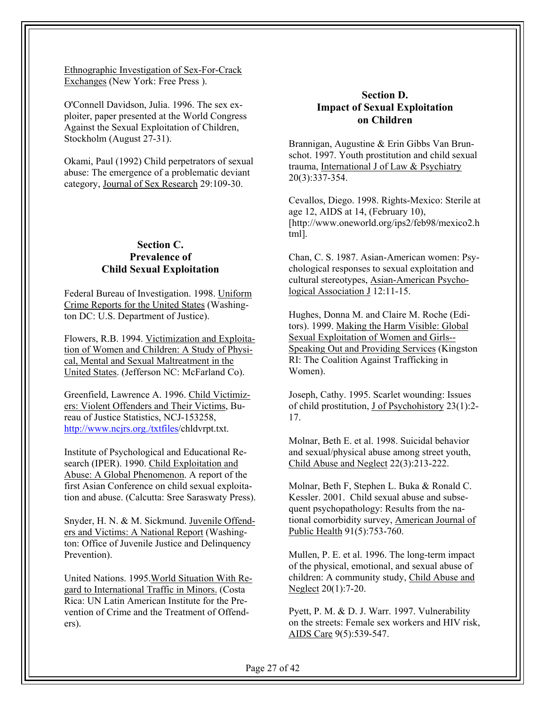Ethnographic Investigation of Sex-For-Crack Exchanges (New York: Free Press ).

O'Connell Davidson, Julia. 1996. The sex exploiter, paper presented at the World Congress Against the Sexual Exploitation of Children, Stockholm (August 27-31).

Okami, Paul (1992) Child perpetrators of sexual abuse: The emergence of a problematic deviant category, Journal of Sex Research 29:109-30.

## **Section C. Prevalence of Child Sexual Exploitation**

Federal Bureau of Investigation. 1998. Uniform Crime Reports for the United States (Washington DC: U.S. Department of Justice).

Flowers, R.B. 1994. Victimization and Exploitation of Women and Children: A Study of Physical, Mental and Sexual Maltreatment in the United States. (Jefferson NC: McFarland Co).

Greenfield, Lawrence A. 1996. Child Victimizers: Violent Offenders and Their Victims, Bureau of Justice Statistics, NCJ-153258, http://www.ncjrs.org./txtfiles/chldvrpt.txt.

Institute of Psychological and Educational Research (IPER). 1990. Child Exploitation and Abuse: A Global Phenomenon. A report of the first Asian Conference on child sexual exploitation and abuse. (Calcutta: Sree Saraswaty Press).

Snyder, H. N. & M. Sickmund. Juvenile Offenders and Victims: A National Report (Washington: Office of Juvenile Justice and Delinquency Prevention).

United Nations. 1995.World Situation With Regard to International Traffic in Minors. (Costa Rica: UN Latin American Institute for the Prevention of Crime and the Treatment of Offenders).

## **Section D. Impact of Sexual Exploitation on Children**

Brannigan, Augustine & Erin Gibbs Van Brunschot. 1997. Youth prostitution and child sexual trauma, International J of Law & Psychiatry 20(3):337-354.

Cevallos, Diego. 1998. Rights-Mexico: Sterile at age 12, AIDS at 14, (February 10), [http://www.oneworld.org/ips2/feb98/mexico2.h tml].

Chan, C. S. 1987. Asian-American women: Psychological responses to sexual exploitation and cultural stereotypes, Asian-American Psychological Association J 12:11-15.

Hughes, Donna M. and Claire M. Roche (Editors). 1999. Making the Harm Visible: Global Sexual Exploitation of Women and Girls-- Speaking Out and Providing Services (Kingston RI: The Coalition Against Trafficking in Women).

Joseph, Cathy. 1995. Scarlet wounding: Issues of child prostitution, J of Psychohistory 23(1):2- 17.

Molnar, Beth E. et al. 1998. Suicidal behavior and sexual/physical abuse among street youth, Child Abuse and Neglect 22(3):213-222.

Molnar, Beth F, Stephen L. Buka & Ronald C. Kessler. 2001. Child sexual abuse and subsequent psychopathology: Results from the national comorbidity survey, American Journal of Public Health 91(5):753-760.

Mullen, P. E. et al. 1996. The long-term impact of the physical, emotional, and sexual abuse of children: A community study, Child Abuse and Neglect 20(1):7-20.

Pyett, P. M. & D. J. Warr. 1997. Vulnerability on the streets: Female sex workers and HIV risk, AIDS Care 9(5):539-547.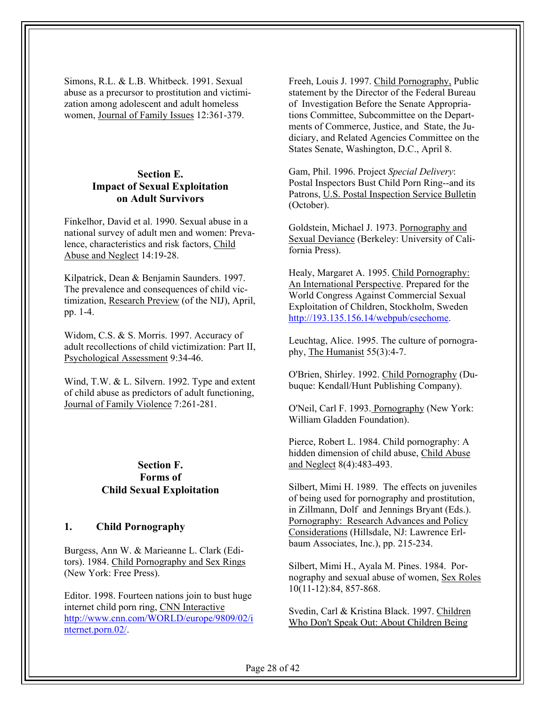Simons, R.L. & L.B. Whitbeck. 1991. Sexual abuse as a precursor to prostitution and victimization among adolescent and adult homeless women, Journal of Family Issues 12:361-379.

#### **Section E. Impact of Sexual Exploitation on Adult Survivors**

Finkelhor, David et al. 1990. Sexual abuse in a national survey of adult men and women: Prevalence, characteristics and risk factors, Child Abuse and Neglect 14:19-28.

Kilpatrick, Dean & Benjamin Saunders. 1997. The prevalence and consequences of child victimization, Research Preview (of the NIJ), April, pp. 1-4.

Widom, C.S. & S. Morris. 1997. Accuracy of adult recollections of child victimization: Part II, Psychological Assessment 9:34-46.

Wind, T.W. & L. Silvern. 1992. Type and extent of child abuse as predictors of adult functioning, Journal of Family Violence 7:261-281.

#### **Section F. Forms of Child Sexual Exploitation**

## **1. Child Pornography**

Burgess, Ann W. & Marieanne L. Clark (Editors). 1984. Child Pornography and Sex Rings (New York: Free Press).

Editor. 1998. Fourteen nations join to bust huge internet child porn ring, CNN Interactive http://www.cnn.com/WORLD/europe/9809/02/i nternet.porn.02/.

Freeh, Louis J. 1997. Child Pornography, Public statement by the Director of the Federal Bureau of Investigation Before the Senate Appropriations Committee, Subcommittee on the Departments of Commerce, Justice, and State, the Judiciary, and Related Agencies Committee on the States Senate, Washington, D.C., April 8.

Gam, Phil. 1996. Project *Special Delivery*: Postal Inspectors Bust Child Porn Ring--and its Patrons, U.S. Postal Inspection Service Bulletin (October).

Goldstein, Michael J. 1973. Pornography and Sexual Deviance (Berkeley: University of California Press).

Healy, Margaret A. 1995. Child Pornography: An International Perspective. Prepared for the World Congress Against Commercial Sexual Exploitation of Children, Stockholm, Sweden http://193.135.156.14/webpub/csechome.

Leuchtag, Alice. 1995. The culture of pornography, The Humanist 55(3):4-7.

O'Brien, Shirley. 1992. Child Pornography (Dubuque: Kendall/Hunt Publishing Company).

O'Neil, Carl F. 1993. Pornography (New York: William Gladden Foundation).

Pierce, Robert L. 1984. Child pornography: A hidden dimension of child abuse, Child Abuse and Neglect 8(4):483-493.

Silbert, Mimi H. 1989. The effects on juveniles of being used for pornography and prostitution, in Zillmann, Dolf and Jennings Bryant (Eds.). Pornography: Research Advances and Policy Considerations (Hillsdale, NJ: Lawrence Erlbaum Associates, Inc.), pp. 215-234.

Silbert, Mimi H., Ayala M. Pines. 1984. Pornography and sexual abuse of women, Sex Roles 10(11-12):84, 857-868.

Svedin, Carl & Kristina Black. 1997. Children Who Don't Speak Out: About Children Being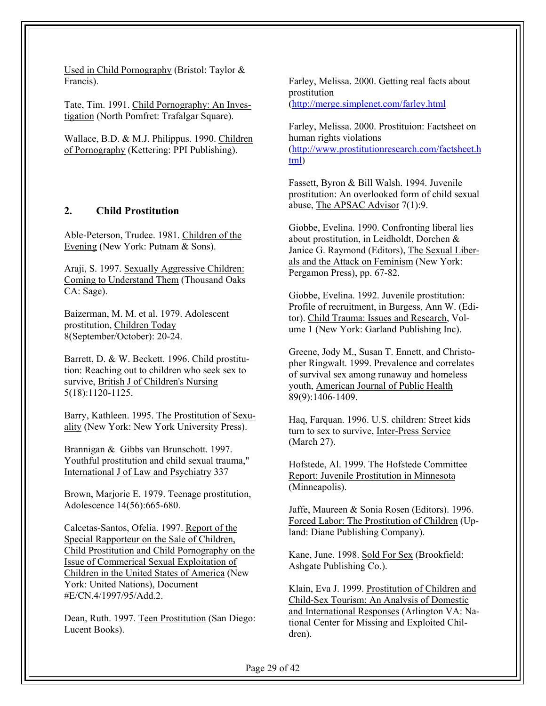Used in Child Pornography (Bristol: Taylor & Francis).

Tate, Tim. 1991. Child Pornography: An Investigation (North Pomfret: Trafalgar Square).

Wallace, B.D. & M.J. Philippus. 1990. Children of Pornography (Kettering: PPI Publishing).

#### **2. Child Prostitution**

Able-Peterson, Trudee. 1981. Children of the Evening (New York: Putnam & Sons).

Araji, S. 1997. Sexually Aggressive Children: Coming to Understand Them (Thousand Oaks CA: Sage).

Baizerman, M. M. et al. 1979. Adolescent prostitution, Children Today 8(September/October): 20-24.

Barrett, D. & W. Beckett. 1996. Child prostitution: Reaching out to children who seek sex to survive, British J of Children's Nursing 5(18):1120-1125.

Barry, Kathleen. 1995. The Prostitution of Sexuality (New York: New York University Press).

Brannigan & Gibbs van Brunschott. 1997. Youthful prostitution and child sexual trauma," International J of Law and Psychiatry 337

Brown, Marjorie E. 1979. Teenage prostitution, Adolescence 14(56):665-680.

Calcetas-Santos, Ofelia. 1997. Report of the Special Rapporteur on the Sale of Children, Child Prostitution and Child Pornography on the Issue of Commerical Sexual Exploitation of Children in the United States of America (New York: United Nations), Document #E/CN.4/1997/95/Add.2.

Dean, Ruth. 1997. Teen Prostitution (San Diego: Lucent Books).

Farley, Melissa. 2000. Getting real facts about prostitution (http://merge.simplenet.com/farley.html

Farley, Melissa. 2000. Prostituion: Factsheet on human rights violations (http://www.prostitutionresearch.com/factsheet.h tml)

Fassett, Byron & Bill Walsh. 1994. Juvenile prostitution: An overlooked form of child sexual abuse, The APSAC Advisor 7(1):9.

Giobbe, Evelina. 1990. Confronting liberal lies about prostitution, in Leidholdt, Dorchen & Janice G. Raymond (Editors), The Sexual Liberals and the Attack on Feminism (New York: Pergamon Press), pp. 67-82.

Giobbe, Evelina. 1992. Juvenile prostitution: Profile of recruitment, in Burgess, Ann W. (Editor). Child Trauma: Issues and Research, Volume 1 (New York: Garland Publishing Inc).

Greene, Jody M., Susan T. Ennett, and Christopher Ringwalt. 1999. Prevalence and correlates of survival sex among runaway and homeless youth, American Journal of Public Health 89(9):1406-1409.

Haq, Farquan. 1996. U.S. children: Street kids turn to sex to survive, Inter-Press Service (March 27).

Hofstede, Al. 1999. The Hofstede Committee Report: Juvenile Prostitution in Minnesota (Minneapolis).

Jaffe, Maureen & Sonia Rosen (Editors). 1996. Forced Labor: The Prostitution of Children (Upland: Diane Publishing Company).

Kane, June. 1998. Sold For Sex (Brookfield: Ashgate Publishing Co.).

Klain, Eva J. 1999. Prostitution of Children and Child-Sex Tourism: An Analysis of Domestic and International Responses (Arlington VA: National Center for Missing and Exploited Children).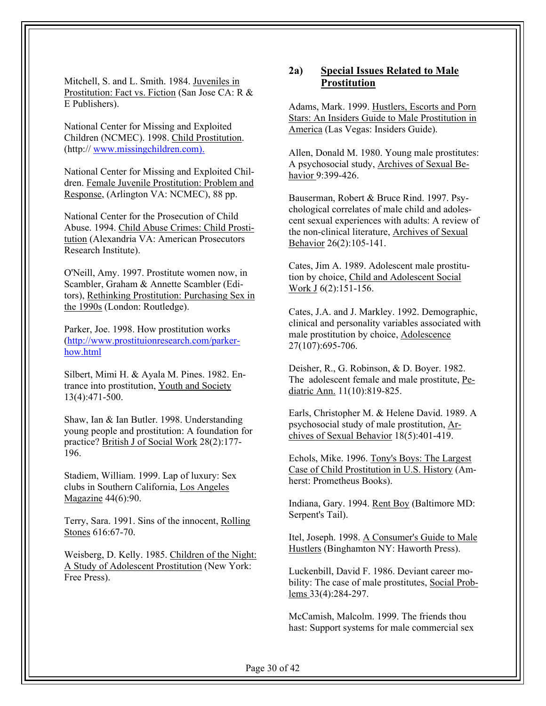Mitchell, S. and L. Smith. 1984. Juveniles in Prostitution: Fact vs. Fiction (San Jose CA: R & E Publishers).

 National Center for Missing and Exploited Children (NCMEC). 1998. Child Prostitution. (http:// www.missingchildren.com).

National Center for Missing and Exploited Children. Female Juvenile Prostitution: Problem and Response, (Arlington VA: NCMEC), 88 pp.

National Center for the Prosecution of Child Abuse. 1994. Child Abuse Crimes: Child Prostitution (Alexandria VA: American Prosecutors Research Institute).

O'Neill, Amy. 1997. Prostitute women now, in Scambler, Graham & Annette Scambler (Editors), Rethinking Prostitution: Purchasing Sex in the 1990s (London: Routledge).

Parker, Joe. 1998. How prostitution works (http://www.prostituionresearch.com/parkerhow.html

Silbert, Mimi H. & Ayala M. Pines. 1982. Entrance into prostitution, Youth and Society 13(4):471-500.

Shaw, Ian & Ian Butler. 1998. Understanding young people and prostitution: A foundation for practice? British J of Social Work 28(2):177- 196.

Stadiem, William. 1999. Lap of luxury: Sex clubs in Southern California, Los Angeles Magazine 44(6):90.

Terry, Sara. 1991. Sins of the innocent, Rolling Stones 616:67-70.

Weisberg, D. Kelly. 1985. Children of the Night: A Study of Adolescent Prostitution (New York: Free Press).

#### **2a) Special Issues Related to Male Prostitution**

Adams, Mark. 1999. Hustlers, Escorts and Porn Stars: An Insiders Guide to Male Prostitution in America (Las Vegas: Insiders Guide).

Allen, Donald M. 1980. Young male prostitutes: A psychosocial study, Archives of Sexual Behavior 9:399-426.

Bauserman, Robert & Bruce Rind. 1997. Psychological correlates of male child and adolescent sexual experiences with adults: A review of the non-clinical literature, Archives of Sexual Behavior 26(2):105-141.

Cates, Jim A. 1989. Adolescent male prostitution by choice, Child and Adolescent Social Work J 6(2):151-156.

Cates, J.A. and J. Markley. 1992. Demographic, clinical and personality variables associated with male prostitution by choice, Adolescence 27(107):695-706.

Deisher, R., G. Robinson, & D. Boyer. 1982. The adolescent female and male prostitute, Pediatric Ann. 11(10):819-825.

Earls, Christopher M. & Helene David. 1989. A psychosocial study of male prostitution, Archives of Sexual Behavior 18(5):401-419.

Echols, Mike. 1996. Tony's Boys: The Largest Case of Child Prostitution in U.S. History (Amherst: Prometheus Books).

Indiana, Gary. 1994. Rent Boy (Baltimore MD: Serpent's Tail).

Itel, Joseph. 1998. A Consumer's Guide to Male Hustlers (Binghamton NY: Haworth Press).

Luckenbill, David F. 1986. Deviant career mobility: The case of male prostitutes, Social Problems 33(4):284-297.

McCamish, Malcolm. 1999. The friends thou hast: Support systems for male commercial sex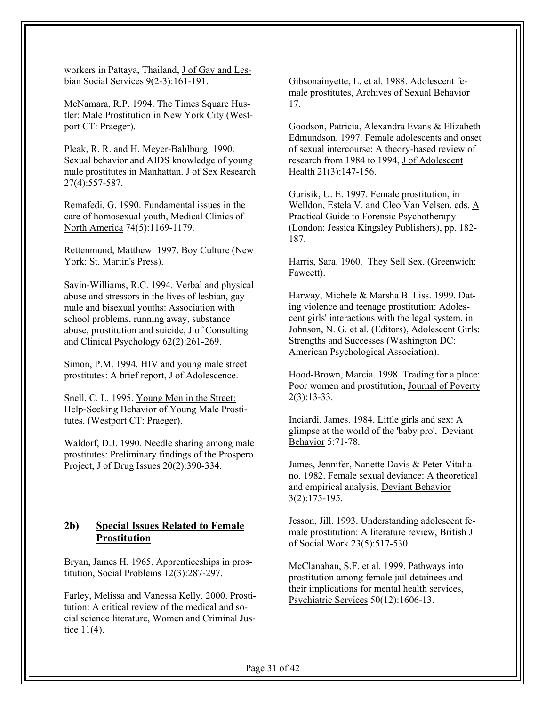workers in Pattaya, Thailand, J of Gay and Lesbian Social Services 9(2-3):161-191.

McNamara, R.P. 1994. The Times Square Hustler: Male Prostitution in New York City (Westport CT: Praeger).

Pleak, R. R. and H. Meyer-Bahlburg. 1990. Sexual behavior and AIDS knowledge of young male prostitutes in Manhattan. J of Sex Research 27(4):557-587.

Remafedi, G. 1990. Fundamental issues in the care of homosexual youth, Medical Clinics of North America 74(5):1169-1179.

Rettenmund, Matthew. 1997. Boy Culture (New York: St. Martin's Press).

Savin-Williams, R.C. 1994. Verbal and physical abuse and stressors in the lives of lesbian, gay male and bisexual youths: Association with school problems, running away, substance abuse, prostitution and suicide, J of Consulting and Clinical Psychology 62(2):261-269.

Simon, P.M. 1994. HIV and young male street prostitutes: A brief report, J of Adolescence.

Snell, C. L. 1995. Young Men in the Street: Help-Seeking Behavior of Young Male Prostitutes. (Westport CT: Praeger).

Waldorf, D.J. 1990. Needle sharing among male prostitutes: Preliminary findings of the Prospero Project, J of Drug Issues 20(2):390-334.

## **2b) Special Issues Related to Female Prostitution**

Bryan, James H. 1965. Apprenticeships in prostitution, Social Problems 12(3):287-297.

Farley, Melissa and Vanessa Kelly. 2000. Prostitution: A critical review of the medical and social science literature, Women and Criminal Justice 11(4).

Gibsonainyette, L. et al. 1988. Adolescent female prostitutes, Archives of Sexual Behavior 17.

Goodson, Patricia, Alexandra Evans & Elizabeth Edmundson. 1997. Female adolescents and onset of sexual intercourse: A theory-based review of research from 1984 to 1994, J of Adolescent Health 21(3):147-156.

Gurisik, U. E. 1997. Female prostitution, in Welldon, Estela V. and Cleo Van Velsen, eds. A Practical Guide to Forensic Psychotherapy (London: Jessica Kingsley Publishers), pp. 182- 187.

Harris, Sara. 1960. They Sell Sex. (Greenwich: Fawcett).

Harway, Michele & Marsha B. Liss. 1999. Dating violence and teenage prostitution: Adolescent girls' interactions with the legal system, in Johnson, N. G. et al. (Editors), Adolescent Girls: Strengths and Successes (Washington DC: American Psychological Association).

Hood-Brown, Marcia. 1998. Trading for a place: Poor women and prostitution, Journal of Poverty 2(3):13-33.

Inciardi, James. 1984. Little girls and sex: A glimpse at the world of the 'baby pro', Deviant Behavior 5:71-78.

James, Jennifer, Nanette Davis & Peter Vitaliano. 1982. Female sexual deviance: A theoretical and empirical analysis, Deviant Behavior 3(2):175-195.

Jesson, Jill. 1993. Understanding adolescent female prostitution: A literature review, British J of Social Work 23(5):517-530.

McClanahan, S.F. et al. 1999. Pathways into prostitution among female jail detainees and their implications for mental health services, Psychiatric Services 50(12):1606-13.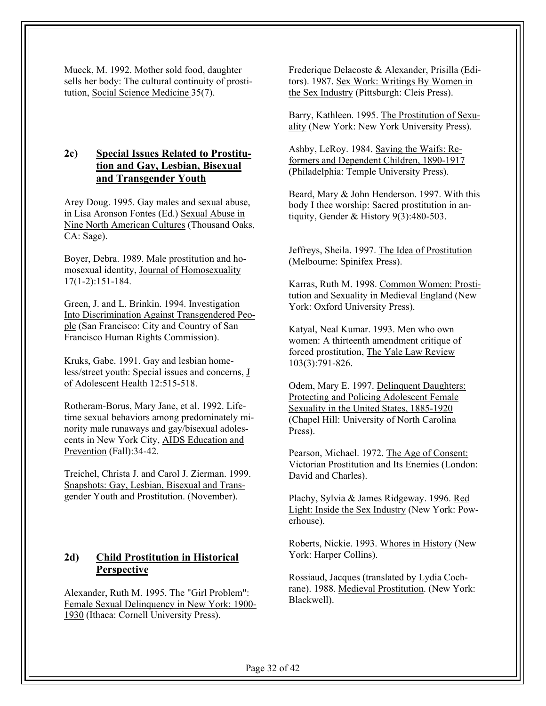Mueck, M. 1992. Mother sold food, daughter sells her body: The cultural continuity of prostitution, Social Science Medicine 35(7).

## **2c) Special Issues Related to Prostitution and Gay, Lesbian, Bisexual and Transgender Youth**

Arey Doug. 1995. Gay males and sexual abuse, in Lisa Aronson Fontes (Ed.) Sexual Abuse in Nine North American Cultures (Thousand Oaks, CA: Sage).

Boyer, Debra. 1989. Male prostitution and homosexual identity, Journal of Homosexuality 17(1-2):151-184.

Green, J. and L. Brinkin. 1994. Investigation Into Discrimination Against Transgendered People (San Francisco: City and Country of San Francisco Human Rights Commission).

Kruks, Gabe. 1991. Gay and lesbian homeless/street youth: Special issues and concerns, J of Adolescent Health 12:515-518.

Rotheram-Borus, Mary Jane, et al. 1992. Lifetime sexual behaviors among predominately minority male runaways and gay/bisexual adolescents in New York City, AIDS Education and Prevention (Fall):34-42.

Treichel, Christa J. and Carol J. Zierman. 1999. Snapshots: Gay, Lesbian, Bisexual and Transgender Youth and Prostitution. (November).

## **2d) Child Prostitution in Historical Perspective**

Alexander, Ruth M. 1995. The "Girl Problem": Female Sexual Delinquency in New York: 1900- 1930 (Ithaca: Cornell University Press).

Frederique Delacoste & Alexander, Prisilla (Editors). 1987. Sex Work: Writings By Women in the Sex Industry (Pittsburgh: Cleis Press).

Barry, Kathleen. 1995. The Prostitution of Sexuality (New York: New York University Press).

Ashby, LeRoy. 1984. Saving the Waifs: Reformers and Dependent Children, 1890-1917 (Philadelphia: Temple University Press).

Beard, Mary & John Henderson. 1997. With this body I thee worship: Sacred prostitution in antiquity, Gender & History 9(3):480-503.

Jeffreys, Sheila. 1997. The Idea of Prostitution (Melbourne: Spinifex Press).

Karras, Ruth M. 1998. Common Women: Prostitution and Sexuality in Medieval England (New York: Oxford University Press).

Katyal, Neal Kumar. 1993. Men who own women: A thirteenth amendment critique of forced prostitution, The Yale Law Review 103(3):791-826.

Odem, Mary E. 1997. Delinquent Daughters: Protecting and Policing Adolescent Female Sexuality in the United States, 1885-1920 (Chapel Hill: University of North Carolina Press).

Pearson, Michael. 1972. The Age of Consent: Victorian Prostitution and Its Enemies (London: David and Charles).

Plachy, Sylvia & James Ridgeway. 1996. Red Light: Inside the Sex Industry (New York: Powerhouse).

Roberts, Nickie. 1993. Whores in History (New York: Harper Collins).

Rossiaud, Jacques (translated by Lydia Cochrane). 1988. Medieval Prostitution. (New York: Blackwell).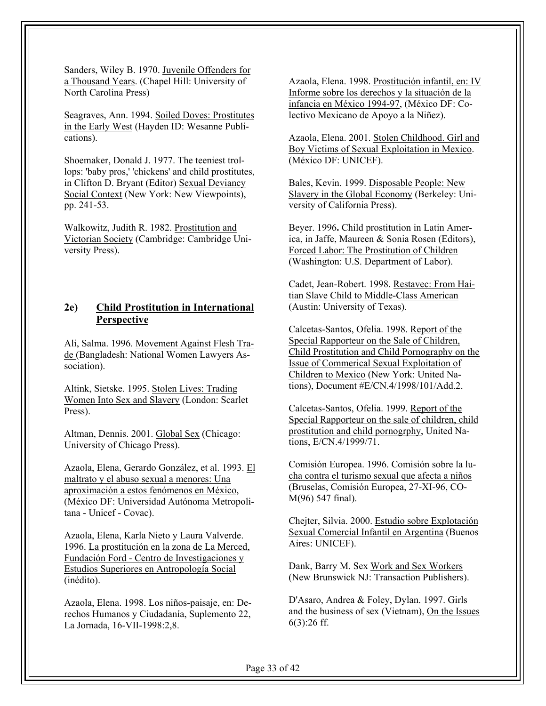Sanders, Wiley B. 1970. Juvenile Offenders for a Thousand Years. (Chapel Hill: University of North Carolina Press)

Seagraves, Ann. 1994. Soiled Doves: Prostitutes in the Early West (Hayden ID: Wesanne Publications).

Shoemaker, Donald J. 1977. The teeniest trollops: 'baby pros,' 'chickens' and child prostitutes, in Clifton D. Bryant (Editor) Sexual Deviancy Social Context (New York: New Viewpoints), pp. 241-53.

Walkowitz, Judith R. 1982. Prostitution and Victorian Society (Cambridge: Cambridge University Press).

## **2e) Child Prostitution in International Perspective**

Ali, Salma. 1996. Movement Against Flesh Trade (Bangladesh: National Women Lawyers Association).

Altink, Sietske. 1995. Stolen Lives: Trading Women Into Sex and Slavery (London: Scarlet Press).

Altman, Dennis. 2001. Global Sex (Chicago: University of Chicago Press).

Azaola, Elena, Gerardo González, et al. 1993. El maltrato y el abuso sexual a menores: Una aproximación a estos fenómenos en México, (México DF: Universidad Autónoma Metropolitana - Unicef - Covac).

Azaola, Elena, Karla Nieto y Laura Valverde. 1996. La prostitución en la zona de La Merced, Fundación Ford - Centro de Investigaciones y Estudios Superiores en Antropología Social (inédito).

Azaola, Elena. 1998. Los niños-paisaje, en: Derechos Humanos y Ciudadanía, Suplemento 22, La Jornada, 16-VII-1998:2,8.

Azaola, Elena. 1998. Prostitución infantil, en: IV Informe sobre los derechos y la situación de la infancia en México 1994-97, (México DF: Colectivo Mexicano de Apoyo a la Niñez).

Azaola, Elena. 2001. Stolen Childhood. Girl and Boy Victims of Sexual Exploitation in Mexico. (México DF: UNICEF).

Bales, Kevin. 1999. Disposable People: New Slavery in the Global Economy (Berkeley: University of California Press).

Beyer. 1996**.** Child prostitution in Latin America, in Jaffe, Maureen & Sonia Rosen (Editors), Forced Labor: The Prostitution of Children (Washington: U.S. Department of Labor).

Cadet, Jean-Robert. 1998. Restavec: From Haitian Slave Child to Middle-Class American (Austin: University of Texas).

Calcetas-Santos, Ofelia. 1998. Report of the Special Rapporteur on the Sale of Children, Child Prostitution and Child Pornography on the Issue of Commerical Sexual Exploitation of Children to Mexico (New York: United Nations), Document #E/CN.4/1998/101/Add.2.

Calcetas-Santos, Ofelia. 1999. Report of the Special Rapporteur on the sale of children, child prostitution and child pornogrphy, United Nations, E/CN.4/1999/71.

Comisión Europea. 1996. Comisión sobre la lucha contra el turismo sexual que afecta a niños (Bruselas, Comisión Europea, 27-XI-96, CO-M(96) 547 final).

Chejter, Silvia. 2000. Estudio sobre Explotación Sexual Comercial Infantil en Argentina (Buenos Aires: UNICEF).

Dank, Barry M. Sex Work and Sex Workers (New Brunswick NJ: Transaction Publishers).

D'Asaro, Andrea & Foley, Dylan. 1997. Girls and the business of sex (Vietnam), On the Issues 6(3):26 ff.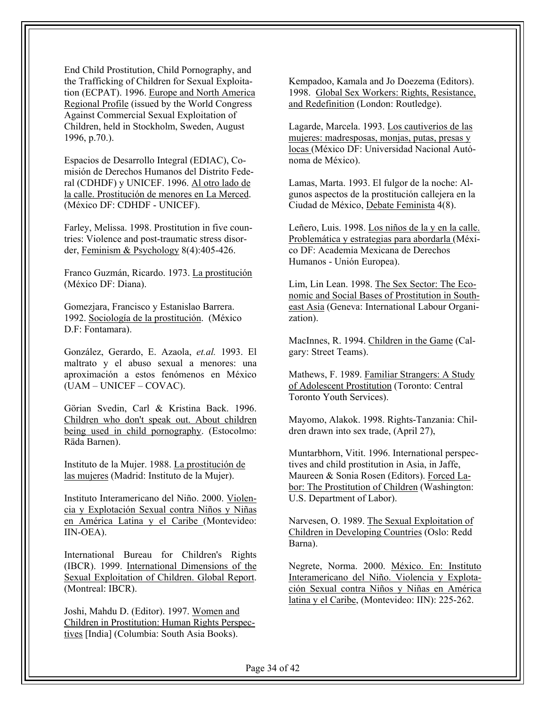End Child Prostitution, Child Pornography, and the Trafficking of Children for Sexual Exploitation (ECPAT). 1996. Europe and North America Regional Profile (issued by the World Congress Against Commercial Sexual Exploitation of Children, held in Stockholm, Sweden, August 1996, p.70.).

Espacios de Desarrollo Integral (EDIAC), Comisión de Derechos Humanos del Distrito Federal (CDHDF) y UNICEF. 1996. Al otro lado de la calle. Prostitución de menores en La Merced. (México DF: CDHDF - UNICEF).

Farley, Melissa. 1998. Prostitution in five countries: Violence and post-traumatic stress disorder, Feminism & Psychology 8(4):405-426.

Franco Guzmán, Ricardo. 1973. La prostitución (México DF: Diana).

Gomezjara, Francisco y Estanislao Barrera. 1992. Sociología de la prostitución. (México D.F: Fontamara).

González, Gerardo, E. Azaola, *et.al.* 1993. El maltrato y el abuso sexual a menores: una aproximación a estos fenómenos en México (UAM – UNICEF – COVAC).

Görian Svedin, Carl & Kristina Back. 1996. Children who don't speak out. About children being used in child pornography. (Estocolmo: Räda Barnen).

Instituto de la Mujer. 1988. La prostitución de las mujeres (Madrid: Instituto de la Mujer).

Instituto Interamericano del Niño. 2000. Violencia y Explotación Sexual contra Niños y Niñas en América Latina y el Caribe (Montevideo: IIN-OEA).

International Bureau for Children's Rights (IBCR). 1999. International Dimensions of the Sexual Exploitation of Children. Global Report. (Montreal: IBCR).

Joshi, Mahdu D. (Editor). 1997. Women and Children in Prostitution: Human Rights Perspectives [India] (Columbia: South Asia Books).

Kempadoo, Kamala and Jo Doezema (Editors). 1998. Global Sex Workers: Rights, Resistance, and Redefinition (London: Routledge).

Lagarde, Marcela. 1993. Los cautiverios de las mujeres: madresposas, monjas, putas, presas y locas (México DF: Universidad Nacional Autónoma de México).

Lamas, Marta. 1993. El fulgor de la noche: Algunos aspectos de la prostitución callejera en la Ciudad de México, Debate Feminista 4(8).

Leñero, Luis. 1998. Los niños de la y en la calle. Problemática y estrategias para abordarla (México DF: Academia Mexicana de Derechos Humanos - Unión Europea).

Lim, Lin Lean. 1998. The Sex Sector: The Economic and Social Bases of Prostitution in Southeast Asia (Geneva: International Labour Organization).

MacInnes, R. 1994. Children in the Game (Calgary: Street Teams).

Mathews, F. 1989. Familiar Strangers: A Study of Adolescent Prostitution (Toronto: Central Toronto Youth Services).

Mayomo, Alakok. 1998. Rights-Tanzania: Children drawn into sex trade, (April 27),

Muntarbhorn, Vitit. 1996. International perspectives and child prostitution in Asia, in Jaffe, Maureen & Sonia Rosen (Editors). Forced Labor: The Prostitution of Children (Washington: U.S. Department of Labor).

Narvesen, O. 1989. The Sexual Exploitation of Children in Developing Countries (Oslo: Redd Barna).

Negrete, Norma. 2000. México. En: Instituto Interamericano del Niño. Violencia y Explotación Sexual contra Niños y Niñas en América latina y el Caribe, (Montevideo: IIN): 225-262.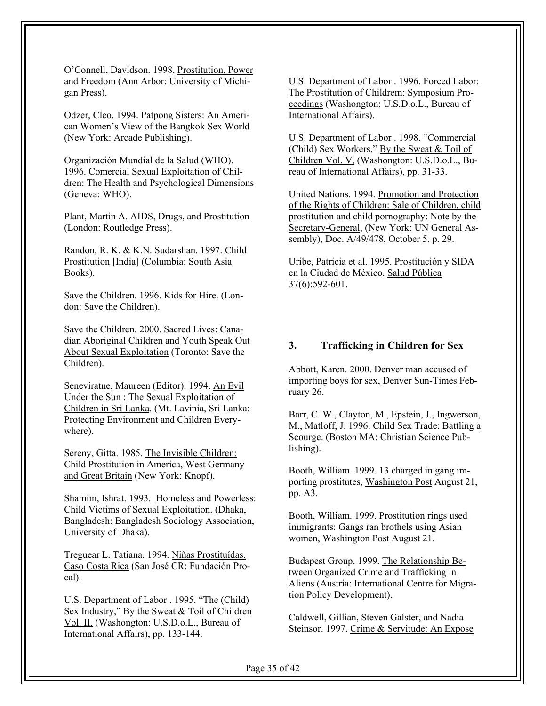O'Connell, Davidson. 1998. Prostitution, Power and Freedom (Ann Arbor: University of Michigan Press).

Odzer, Cleo. 1994. Patpong Sisters: An American Women's View of the Bangkok Sex World (New York: Arcade Publishing).

Organización Mundial de la Salud (WHO). 1996. Comercial Sexual Exploitation of Children: The Health and Psychological Dimensions (Geneva: WHO).

Plant, Martin A. AIDS, Drugs, and Prostitution (London: Routledge Press).

Randon, R. K. & K.N. Sudarshan. 1997. Child Prostitution [India] (Columbia: South Asia Books).

Save the Children. 1996. Kids for Hire. (London: Save the Children).

Save the Children. 2000. Sacred Lives: Canadian Aboriginal Children and Youth Speak Out About Sexual Exploitation (Toronto: Save the Children).

Seneviratne, Maureen (Editor). 1994. An Evil Under the Sun : The Sexual Exploitation of Children in Sri Lanka. (Mt. Lavinia, Sri Lanka: Protecting Environment and Children Everywhere).

Sereny, Gitta. 1985. The Invisible Children: Child Prostitution in America, West Germany and Great Britain (New York: Knopf).

Shamim, Ishrat. 1993. Homeless and Powerless: Child Victims of Sexual Exploitation. (Dhaka, Bangladesh: Bangladesh Sociology Association, University of Dhaka).

Treguear L. Tatiana. 1994. Niñas Prostituídas. Caso Costa Rica (San José CR: Fundación Procal).

U.S. Department of Labor . 1995. "The (Child) Sex Industry," By the Sweat & Toil of Children Vol. II, (Washongton: U.S.D.o.L., Bureau of International Affairs), pp. 133-144.

U.S. Department of Labor . 1996. Forced Labor: The Prostitution of Childrem: Symposium Proceedings (Washongton: U.S.D.o.L., Bureau of International Affairs).

U.S. Department of Labor . 1998. "Commercial (Child) Sex Workers," By the Sweat & Toil of Children Vol. V, (Washongton: U.S.D.o.L., Bureau of International Affairs), pp. 31-33.

United Nations. 1994. Promotion and Protection of the Rights of Children: Sale of Children, child prostitution and child pornography: Note by the Secretary-General, (New York: UN General Assembly), Doc. A/49/478, October 5, p. 29.

Uribe, Patricia et al. 1995. Prostitución y SIDA en la Ciudad de México. Salud Pública 37(6):592-601.

#### **3. Trafficking in Children for Sex**

Abbott, Karen. 2000. Denver man accused of importing boys for sex, Denver Sun-Times February 26.

Barr, C. W., Clayton, M., Epstein, J., Ingwerson, M., Matloff, J. 1996. Child Sex Trade: Battling a Scourge. (Boston MA: Christian Science Publishing).

Booth, William. 1999. 13 charged in gang importing prostitutes, Washington Post August 21, pp. A3.

Booth, William. 1999. Prostitution rings used immigrants: Gangs ran brothels using Asian women, Washington Post August 21.

Budapest Group. 1999. The Relationship Between Organized Crime and Trafficking in Aliens (Austria: International Centre for Migration Policy Development).

Caldwell, Gillian, Steven Galster, and Nadia Steinsor. 1997. Crime & Servitude: An Expose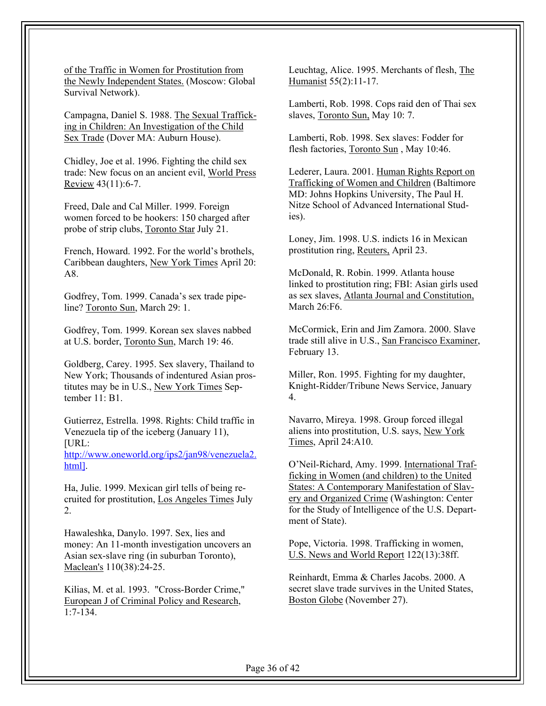of the Traffic in Women for Prostitution from the Newly Independent States. (Moscow: Global Survival Network).

Campagna, Daniel S. 1988. The Sexual Trafficking in Children: An Investigation of the Child Sex Trade (Dover MA: Auburn House).

Chidley, Joe et al. 1996. Fighting the child sex trade: New focus on an ancient evil, World Press Review  $43(11):6-7$ .

Freed, Dale and Cal Miller. 1999. Foreign women forced to be hookers: 150 charged after probe of strip clubs, Toronto Star July 21.

French, Howard. 1992. For the world's brothels, Caribbean daughters, New York Times April 20: A8.

Godfrey, Tom. 1999. Canada's sex trade pipeline? Toronto Sun, March 29: 1.

Godfrey, Tom. 1999. Korean sex slaves nabbed at U.S. border, Toronto Sun, March 19: 46.

Goldberg, Carey. 1995. Sex slavery, Thailand to New York; Thousands of indentured Asian prostitutes may be in U.S., New York Times September 11: B1.

Gutierrez, Estrella. 1998. Rights: Child traffic in Venezuela tip of the iceberg (January 11), [URL:

http://www.oneworld.org/ips2/jan98/venezuela2. html].

Ha, Julie. 1999. Mexican girl tells of being recruited for prostitution, Los Angeles Times July 2.

Hawaleshka, Danylo. 1997. Sex, lies and money: An 11-month investigation uncovers an Asian sex-slave ring (in suburban Toronto), Maclean's 110(38):24-25.

Kilias, M. et al. 1993. "Cross-Border Crime," European J of Criminal Policy and Research, 1:7-134.

Leuchtag, Alice. 1995. Merchants of flesh, The Humanist 55(2):11-17.

Lamberti, Rob. 1998. Cops raid den of Thai sex slaves, Toronto Sun, May 10: 7.

Lamberti, Rob. 1998. Sex slaves: Fodder for flesh factories, Toronto Sun , May 10:46.

Lederer, Laura. 2001. Human Rights Report on Trafficking of Women and Children (Baltimore MD: Johns Hopkins University, The Paul H. Nitze School of Advanced International Studies).

Loney, Jim. 1998. U.S. indicts 16 in Mexican prostitution ring, Reuters, April 23.

McDonald, R. Robin. 1999. Atlanta house linked to prostitution ring; FBI: Asian girls used as sex slaves, Atlanta Journal and Constitution, March 26:F6.

McCormick, Erin and Jim Zamora. 2000. Slave trade still alive in U.S., San Francisco Examiner, February 13.

Miller, Ron. 1995. Fighting for my daughter, Knight-Ridder/Tribune News Service, January 4.

Navarro, Mireya. 1998. Group forced illegal aliens into prostitution, U.S. says, New York Times, April 24:A10.

O'Neil-Richard, Amy. 1999. International Trafficking in Women (and children) to the United States: A Contemporary Manifestation of Slavery and Organized Crime (Washington: Center for the Study of Intelligence of the U.S. Department of State).

Pope, Victoria. 1998. Trafficking in women, U.S. News and World Report 122(13):38ff.

Reinhardt, Emma & Charles Jacobs. 2000. A secret slave trade survives in the United States, Boston Globe (November 27).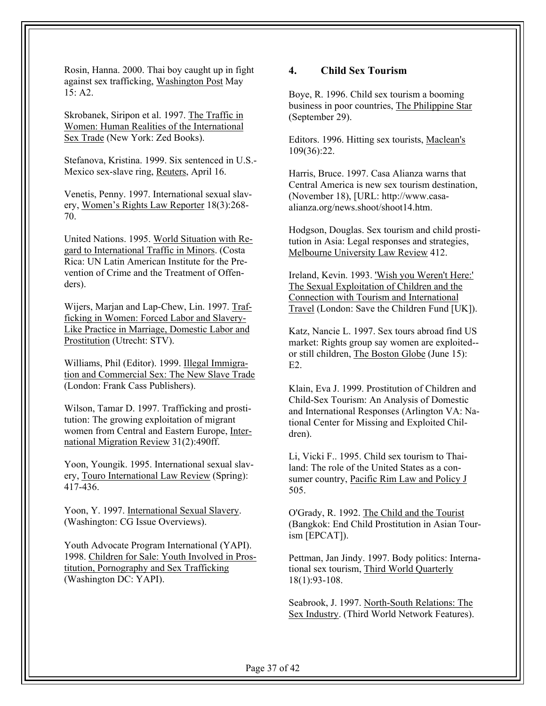Rosin, Hanna. 2000. Thai boy caught up in fight against sex trafficking, Washington Post May  $15: A2.$ 

Skrobanek, Siripon et al. 1997. The Traffic in Women: Human Realities of the International Sex Trade (New York: Zed Books).

Stefanova, Kristina. 1999. Six sentenced in U.S.- Mexico sex-slave ring, Reuters, April 16.

Venetis, Penny. 1997. International sexual slavery, Women's Rights Law Reporter 18(3):268- 70.

United Nations. 1995. World Situation with Regard to International Traffic in Minors. (Costa Rica: UN Latin American Institute for the Prevention of Crime and the Treatment of Offenders).

Wijers, Marjan and Lap-Chew, Lin. 1997. Trafficking in Women: Forced Labor and Slavery-Like Practice in Marriage, Domestic Labor and Prostitution (Utrecht: STV).

Williams, Phil (Editor). 1999. Illegal Immigration and Commercial Sex: The New Slave Trade (London: Frank Cass Publishers).

Wilson, Tamar D. 1997. Trafficking and prostitution: The growing exploitation of migrant women from Central and Eastern Europe, International Migration Review 31(2):490ff.

Yoon, Youngik. 1995. International sexual slavery, Touro International Law Review (Spring): 417-436.

Yoon, Y. 1997. International Sexual Slavery. (Washington: CG Issue Overviews).

Youth Advocate Program International (YAPI). 1998. Children for Sale: Youth Involved in Prostitution, Pornography and Sex Trafficking (Washington DC: YAPI).

## **4. Child Sex Tourism**

Boye, R. 1996. Child sex tourism a booming business in poor countries, The Philippine Star (September 29).

Editors. 1996. Hitting sex tourists, Maclean's 109(36):22.

Harris, Bruce. 1997. Casa Alianza warns that Central America is new sex tourism destination, (November 18), [URL: http://www.casaalianza.org/news.shoot/shoot14.htm.

Hodgson, Douglas. Sex tourism and child prostitution in Asia: Legal responses and strategies, Melbourne University Law Review 412.

Ireland, Kevin. 1993. 'Wish you Weren't Here:' The Sexual Exploitation of Children and the Connection with Tourism and International Travel (London: Save the Children Fund [UK]).

Katz, Nancie L. 1997. Sex tours abroad find US market: Rights group say women are exploited- or still children, The Boston Globe (June 15):  $E2$ 

Klain, Eva J. 1999. Prostitution of Children and Child-Sex Tourism: An Analysis of Domestic and International Responses (Arlington VA: National Center for Missing and Exploited Children).

Li, Vicki F.. 1995. Child sex tourism to Thailand: The role of the United States as a consumer country, Pacific Rim Law and Policy J 505.

O'Grady, R. 1992. The Child and the Tourist (Bangkok: End Child Prostitution in Asian Tourism [EPCAT]).

Pettman, Jan Jindy. 1997. Body politics: International sex tourism, Third World Quarterly 18(1):93-108.

Seabrook, J. 1997. North-South Relations: The Sex Industry. (Third World Network Features).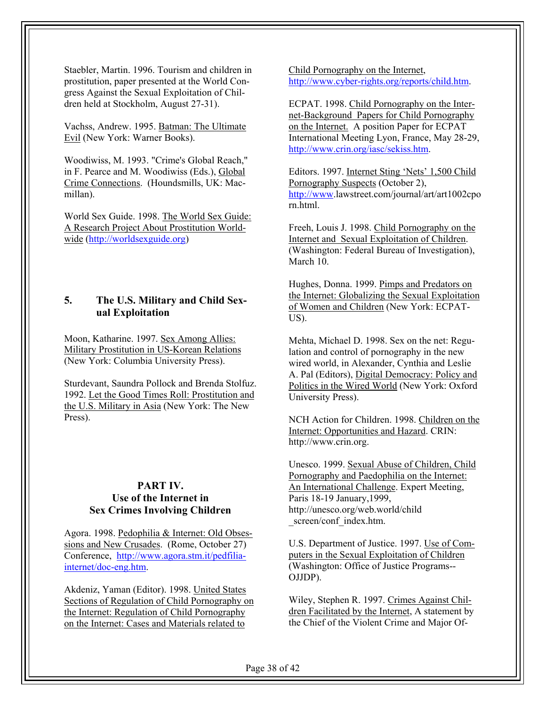Staebler, Martin. 1996. Tourism and children in prostitution, paper presented at the World Congress Against the Sexual Exploitation of Children held at Stockholm, August 27-31).

Vachss, Andrew. 1995. Batman: The Ultimate Evil (New York: Warner Books).

Woodiwiss, M. 1993. "Crime's Global Reach," in F. Pearce and M. Woodiwiss (Eds.), Global Crime Connections. (Houndsmills, UK: Macmillan).

World Sex Guide. 1998. The World Sex Guide: A Research Project About Prostitution Worldwide (http://worldsexguide.org)

## **5. The U.S. Military and Child Sexual Exploitation**

Moon, Katharine. 1997. Sex Among Allies: Military Prostitution in US-Korean Relations (New York: Columbia University Press).

Sturdevant, Saundra Pollock and Brenda Stolfuz. 1992. Let the Good Times Roll: Prostitution and the U.S. Military in Asia (New York: The New Press).

## **PART IV. Use of the Internet in Sex Crimes Involving Children**

Agora. 1998. Pedophilia & Internet: Old Obsessions and New Crusades. (Rome, October 27) Conference, http://www.agora.stm.it/pedfiliainternet/doc-eng.htm.

Akdeniz, Yaman (Editor). 1998. United States Sections of Regulation of Child Pornography on the Internet: Regulation of Child Pornography on the Internet: Cases and Materials related to

Child Pornography on the Internet, http://www.cyber-rights.org/reports/child.htm.

ECPAT. 1998. Child Pornography on the Internet-Background Papers for Child Pornography on the Internet. A position Paper for ECPAT International Meeting Lyon, France, May 28-29, http://www.crin.org/iasc/sekiss.htm.

Editors. 1997. Internet Sting 'Nets' 1,500 Child Pornography Suspects (October 2), http://www.lawstreet.com/journal/art/art1002cpo rn.html.

Freeh, Louis J. 1998. Child Pornography on the Internet and Sexual Exploitation of Children. (Washington: Federal Bureau of Investigation), March 10.

Hughes, Donna. 1999. Pimps and Predators on the Internet: Globalizing the Sexual Exploitation of Women and Children (New York: ECPAT-US).

Mehta, Michael D. 1998. Sex on the net: Regulation and control of pornography in the new wired world, in Alexander, Cynthia and Leslie A. Pal (Editors), Digital Democracy: Policy and Politics in the Wired World (New York: Oxford University Press).

NCH Action for Children. 1998. Children on the Internet: Opportunities and Hazard. CRIN: http://www.crin.org.

Unesco. 1999. Sexual Abuse of Children, Child Pornography and Paedophilia on the Internet: An International Challenge. Expert Meeting, Paris 18-19 January,1999, http://unesco.org/web.world/child screen/conf\_index.htm.

U.S. Department of Justice. 1997. Use of Computers in the Sexual Exploitation of Children (Washington: Office of Justice Programs-- OJJDP).

Wiley, Stephen R. 1997. Crimes Against Children Facilitated by the Internet, A statement by the Chief of the Violent Crime and Major Of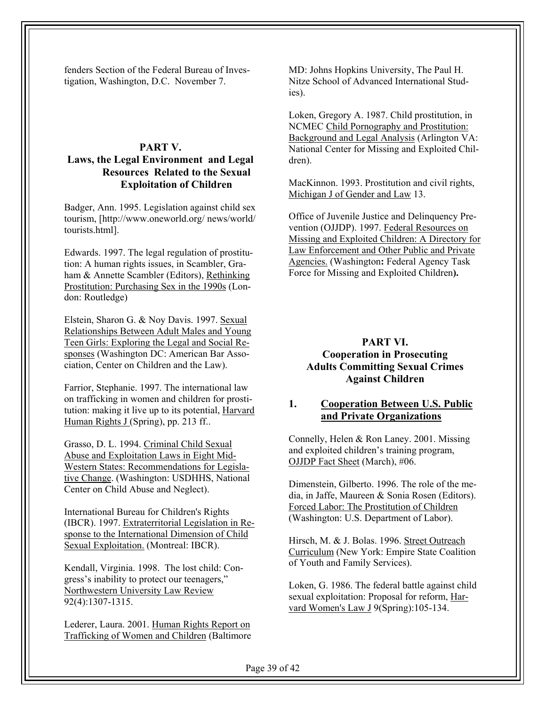fenders Section of the Federal Bureau of Investigation, Washington, D.C. November 7.

#### **PART V. Laws, the Legal Environment and Legal Resources Related to the Sexual Exploitation of Children**

Badger, Ann. 1995. Legislation against child sex tourism, [http://www.oneworld.org/ news/world/ tourists.html].

Edwards. 1997. The legal regulation of prostitution: A human rights issues, in Scambler, Graham & Annette Scambler (Editors), Rethinking Prostitution: Purchasing Sex in the 1990s (London: Routledge)

Elstein, Sharon G. & Noy Davis. 1997. Sexual Relationships Between Adult Males and Young Teen Girls: Exploring the Legal and Social Responses (Washington DC: American Bar Association, Center on Children and the Law).

Farrior, Stephanie. 1997. The international law on trafficking in women and children for prostitution: making it live up to its potential, Harvard Human Rights J (Spring), pp. 213 ff..

Grasso, D. L. 1994. Criminal Child Sexual Abuse and Exploitation Laws in Eight Mid-Western States: Recommendations for Legislative Change. (Washington: USDHHS, National Center on Child Abuse and Neglect).

International Bureau for Children's Rights (IBCR). 1997. Extraterritorial Legislation in Response to the International Dimension of Child Sexual Exploitation. (Montreal: IBCR).

Kendall, Virginia. 1998. The lost child: Congress's inability to protect our teenagers," Northwestern University Law Review 92(4):1307-1315.

Lederer, Laura. 2001. Human Rights Report on Trafficking of Women and Children (Baltimore

MD: Johns Hopkins University, The Paul H. Nitze School of Advanced International Studies).

Loken, Gregory A. 1987. Child prostitution, in NCMEC Child Pornography and Prostitution: Background and Legal Analysis (Arlington VA: National Center for Missing and Exploited Children).

MacKinnon. 1993. Prostitution and civil rights, Michigan J of Gender and Law 13.

Office of Juvenile Justice and Delinquency Prevention (OJJDP). 1997. Federal Resources on Missing and Exploited Children: A Directory for Law Enforcement and Other Public and Private Agencies. (Washington**:** Federal Agency Task Force for Missing and Exploited Children**).** 

#### **PART VI.**

#### **Cooperation in Prosecuting Adults Committing Sexual Crimes Against Children**

#### **1. Cooperation Between U.S. Public and Private Organizations**

Connelly, Helen & Ron Laney. 2001. Missing and exploited children's training program, OJJDP Fact Sheet (March), #06.

Dimenstein, Gilberto. 1996. The role of the media, in Jaffe, Maureen & Sonia Rosen (Editors). Forced Labor: The Prostitution of Children (Washington: U.S. Department of Labor).

Hirsch, M. & J. Bolas. 1996. Street Outreach Curriculum (New York: Empire State Coalition of Youth and Family Services).

Loken, G. 1986. The federal battle against child sexual exploitation: Proposal for reform, Harvard Women's Law J 9(Spring):105-134.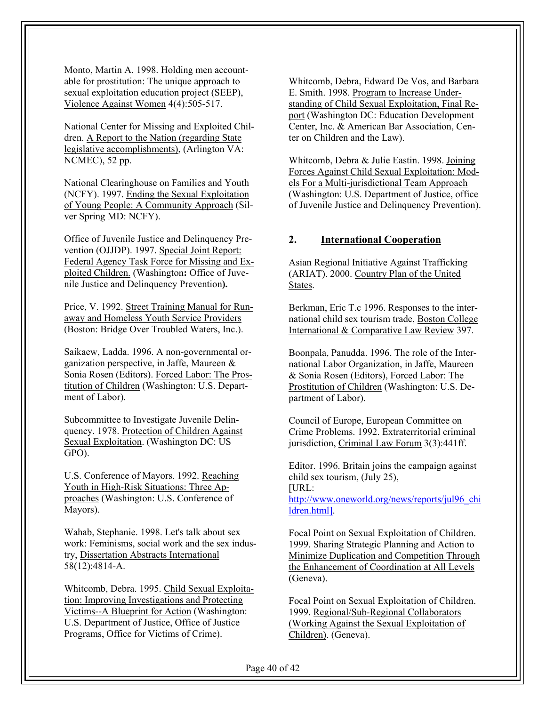Monto, Martin A. 1998. Holding men accountable for prostitution: The unique approach to sexual exploitation education project (SEEP), Violence Against Women 4(4):505-517.

National Center for Missing and Exploited Children. A Report to the Nation (regarding State legislative accomplishments), (Arlington VA: NCMEC), 52 pp.

National Clearinghouse on Families and Youth (NCFY). 1997. Ending the Sexual Exploitation of Young People: A Community Approach (Silver Spring MD: NCFY).

Office of Juvenile Justice and Delinquency Prevention (OJJDP). 1997. Special Joint Report: Federal Agency Task Force for Missing and Exploited Children. (Washington**:** Office of Juvenile Justice and Delinquency Prevention**).**

Price, V. 1992. Street Training Manual for Runaway and Homeless Youth Service Providers (Boston: Bridge Over Troubled Waters, Inc.).

Saikaew, Ladda. 1996. A non-governmental organization perspective, in Jaffe, Maureen & Sonia Rosen (Editors). Forced Labor: The Prostitution of Children (Washington: U.S. Department of Labor).

Subcommittee to Investigate Juvenile Delinquency. 1978. Protection of Children Against Sexual Exploitation. (Washington DC: US GPO).

U.S. Conference of Mayors. 1992. Reaching Youth in High-Risk Situations: Three Approaches (Washington: U.S. Conference of Mayors).

Wahab, Stephanie. 1998. Let's talk about sex work: Feminisms, social work and the sex industry, Dissertation Abstracts International 58(12):4814-A.

Whitcomb, Debra. 1995. Child Sexual Exploitation: Improving Investigations and Protecting Victims--A Blueprint for Action (Washington: U.S. Department of Justice, Office of Justice Programs, Office for Victims of Crime).

Whitcomb, Debra, Edward De Vos, and Barbara E. Smith. 1998. Program to Increase Understanding of Child Sexual Exploitation, Final Report (Washington DC: Education Development Center, Inc. & American Bar Association, Center on Children and the Law).

Whitcomb, Debra & Julie Eastin. 1998. Joining Forces Against Child Sexual Exploitation: Models For a Multi-jurisdictional Team Approach (Washington: U.S. Department of Justice, office of Juvenile Justice and Delinquency Prevention).

#### **2. International Cooperation**

Asian Regional Initiative Against Trafficking (ARIAT). 2000. Country Plan of the United States.

Berkman, Eric T.c 1996. Responses to the international child sex tourism trade, Boston College International & Comparative Law Review 397.

Boonpala, Panudda. 1996. The role of the International Labor Organization, in Jaffe, Maureen & Sonia Rosen (Editors), Forced Labor: The Prostitution of Children (Washington: U.S. Department of Labor).

Council of Europe, European Committee on Crime Problems. 1992. Extraterritorial criminal jurisdiction, Criminal Law Forum 3(3):441ff.

Editor. 1996. Britain joins the campaign against child sex tourism, (July 25), [URL: http://www.oneworld.org/news/reports/jul96\_chi

ldren.html].

Focal Point on Sexual Exploitation of Children. 1999. Sharing Strategic Planning and Action to Minimize Duplication and Competition Through the Enhancement of Coordination at All Levels (Geneva).

Focal Point on Sexual Exploitation of Children. 1999. Regional/Sub-Regional Collaborators (Working Against the Sexual Exploitation of Children). (Geneva).